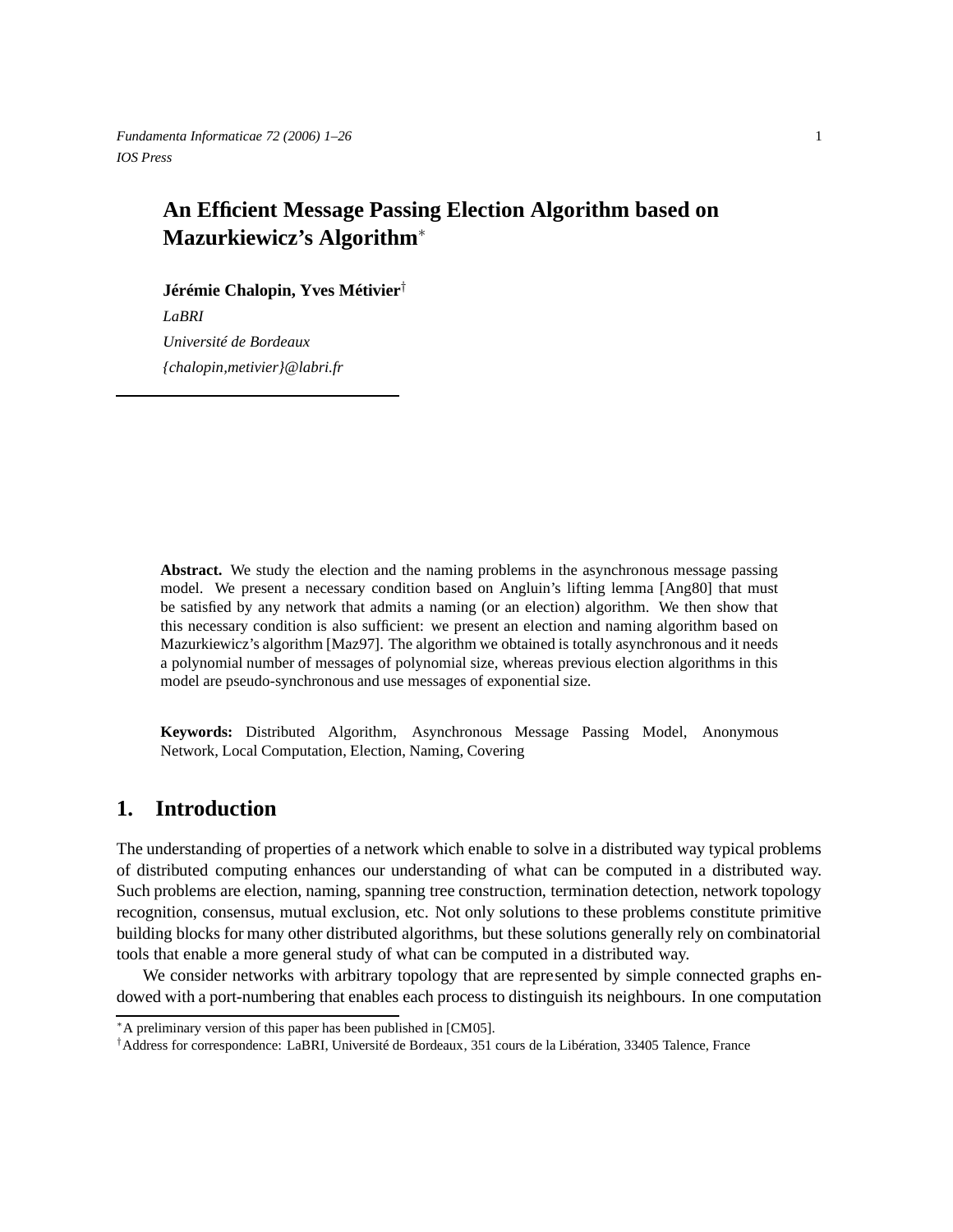*Fundamenta Informaticae 72 (2006) 1–26* 1 *IOS Press*

# **An Efficient Message Passing Election Algorithm based on Mazurkiewicz's Algorithm**<sup>∗</sup>

**Jérémie Chalopin, Yves Métivier**†

*LaBRI Université de Bordeaux {chalopin,metivier}@labri.fr*

**Abstract.** We study the election and the naming problems in the asynchronous message passing model. We present a necessary condition based on Angluin's lifting lemma [Ang80] that must be satisfied by any network that admits a naming (or an election) algorithm. We then show that this necessary condition is also sufficient: we present an election and naming algorithm based on Mazurkiewicz's algorithm [Maz97]. The algorithm we obtained is totally asynchronous and it needs a polynomial number of messages of polynomial size, whereas previous election algorithms in this model are pseudo-synchronous and use messages of exponential size.

**Keywords:** Distributed Algorithm, Asynchronous Message Passing Model, Anonymous Network, Local Computation, Election, Naming, Covering

# **1. Introduction**

The understanding of properties of a network which enable to solve in a distributed way typical problems of distributed computing enhances our understanding of what can be computed in a distributed way. Such problems are election, naming, spanning tree construction, termination detection, network topology recognition, consensus, mutual exclusion, etc. Not only solutions to these problems constitute primitive building blocks for many other distributed algorithms, but these solutions generally rely on combinatorial tools that enable a more general study of what can be computed in a distributed way.

We consider networks with arbitrary topology that are represented by simple connected graphs endowed with a port-numbering that enables each process to distinguish its neighbours. In one computation

<sup>∗</sup>A preliminary version of this paper has been published in [CM05].

<sup>†</sup>Address for correspondence: LaBRI, Université de Bordeaux, 351 cours de la Libération, 33405 Talence, France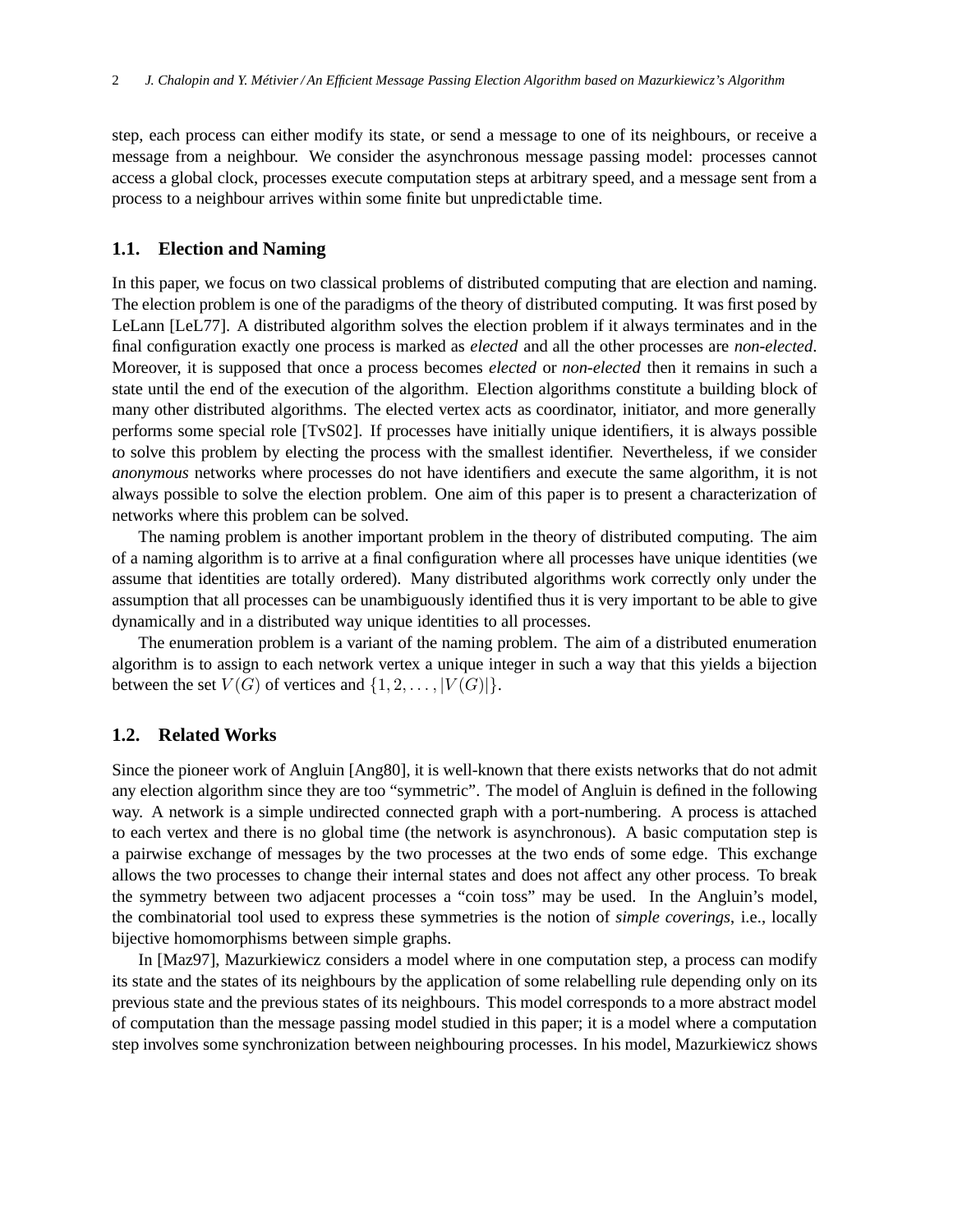step, each process can either modify its state, or send a message to one of its neighbours, or receive a message from a neighbour. We consider the asynchronous message passing model: processes cannot access a global clock, processes execute computation steps at arbitrary speed, and a message sent from a process to a neighbour arrives within some finite but unpredictable time.

#### **1.1. Election and Naming**

In this paper, we focus on two classical problems of distributed computing that are election and naming. The election problem is one of the paradigms of the theory of distributed computing. It was first posed by LeLann [LeL77]. A distributed algorithm solves the election problem if it always terminates and in the final configuration exactly one process is marked as *elected* and all the other processes are *non-elected*. Moreover, it is supposed that once a process becomes *elected* or *non-elected* then it remains in such a state until the end of the execution of the algorithm. Election algorithms constitute a building block of many other distributed algorithms. The elected vertex acts as coordinator, initiator, and more generally performs some special role [TvS02]. If processes have initially unique identifiers, it is always possible to solve this problem by electing the process with the smallest identifier. Nevertheless, if we consider *anonymous* networks where processes do not have identifiers and execute the same algorithm, it is not always possible to solve the election problem. One aim of this paper is to present a characterization of networks where this problem can be solved.

The naming problem is another important problem in the theory of distributed computing. The aim of a naming algorithm is to arrive at a final configuration where all processes have unique identities (we assume that identities are totally ordered). Many distributed algorithms work correctly only under the assumption that all processes can be unambiguously identified thus it is very important to be able to give dynamically and in a distributed way unique identities to all processes.

The enumeration problem is a variant of the naming problem. The aim of a distributed enumeration algorithm is to assign to each network vertex a unique integer in such a way that this yields a bijection between the set  $V(G)$  of vertices and  $\{1, 2, \ldots, |V(G)|\}$ .

# **1.2. Related Works**

Since the pioneer work of Angluin [Ang80], it is well-known that there exists networks that do not admit any election algorithm since they are too "symmetric". The model of Angluin is defined in the following way. A network is a simple undirected connected graph with a port-numbering. A process is attached to each vertex and there is no global time (the network is asynchronous). A basic computation step is a pairwise exchange of messages by the two processes at the two ends of some edge. This exchange allows the two processes to change their internal states and does not affect any other process. To break the symmetry between two adjacent processes a "coin toss" may be used. In the Angluin's model, the combinatorial tool used to express these symmetries is the notion of *simple coverings*, i.e., locally bijective homomorphisms between simple graphs.

In [Maz97], Mazurkiewicz considers a model where in one computation step, a process can modify its state and the states of its neighbours by the application of some relabelling rule depending only on its previous state and the previous states of its neighbours. This model corresponds to a more abstract model of computation than the message passing model studied in this paper; it is a model where a computation step involves some synchronization between neighbouring processes. In his model, Mazurkiewicz shows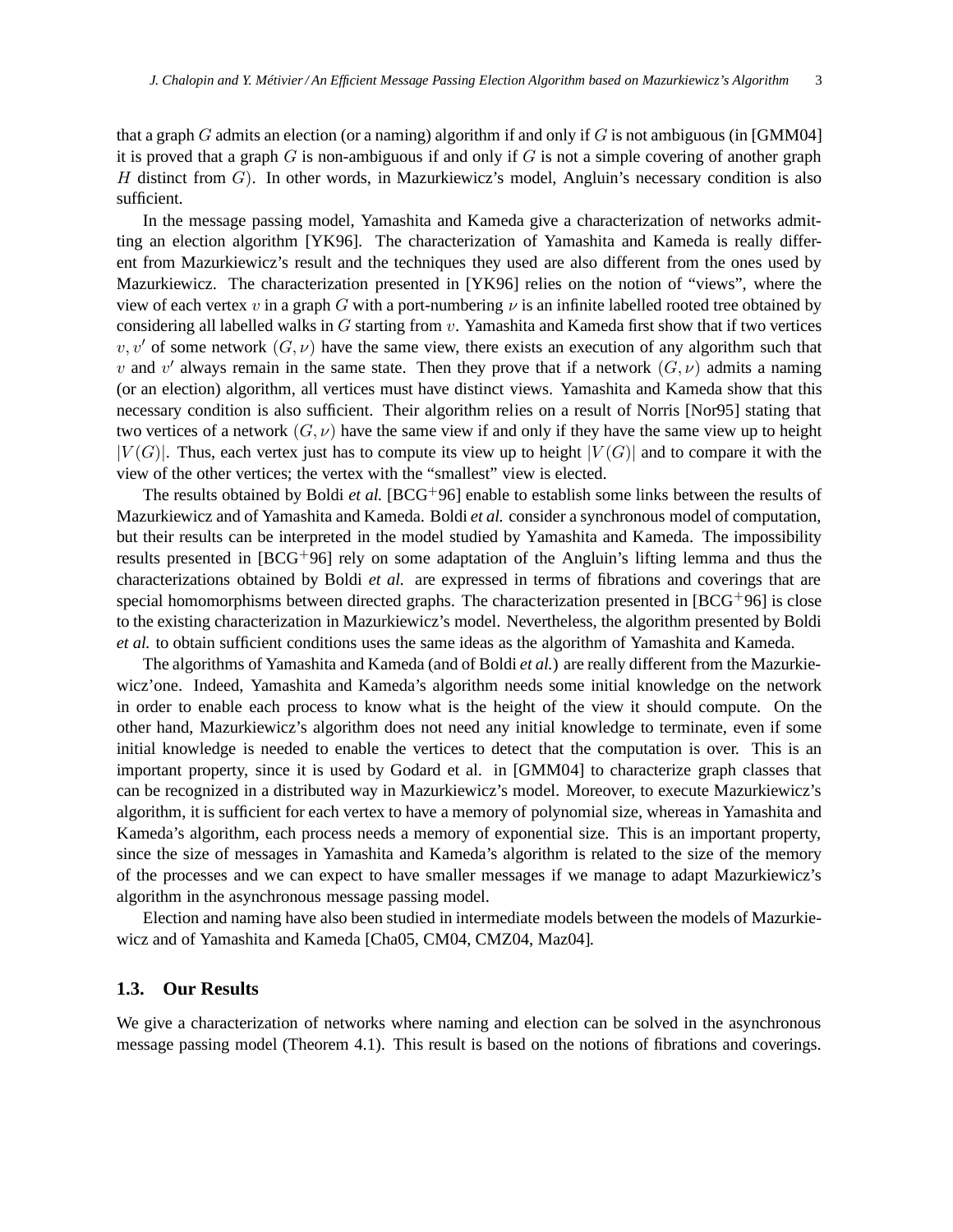that a graph G admits an election (or a naming) algorithm if and only if  $G$  is not ambiguous (in [GMM04] it is proved that a graph  $G$  is non-ambiguous if and only if  $G$  is not a simple covering of another graph H distinct from  $G$ ). In other words, in Mazurkiewicz's model, Angluin's necessary condition is also sufficient.

In the message passing model, Yamashita and Kameda give a characterization of networks admitting an election algorithm [YK96]. The characterization of Yamashita and Kameda is really different from Mazurkiewicz's result and the techniques they used are also different from the ones used by Mazurkiewicz. The characterization presented in [YK96] relies on the notion of "views", where the view of each vertex v in a graph G with a port-numbering  $\nu$  is an infinite labelled rooted tree obtained by considering all labelled walks in  $G$  starting from  $v$ . Yamashita and Kameda first show that if two vertices v, v' of some network  $(G, \nu)$  have the same view, there exists an execution of any algorithm such that v and v' always remain in the same state. Then they prove that if a network  $(G, \nu)$  admits a naming (or an election) algorithm, all vertices must have distinct views. Yamashita and Kameda show that this necessary condition is also sufficient. Their algorithm relies on a result of Norris [Nor95] stating that two vertices of a network  $(G, \nu)$  have the same view if and only if they have the same view up to height  $|V(G)|$ . Thus, each vertex just has to compute its view up to height  $|V(G)|$  and to compare it with the view of the other vertices; the vertex with the "smallest" view is elected.

The results obtained by Boldi *et al.* [BCG+96] enable to establish some links between the results of Mazurkiewicz and of Yamashita and Kameda. Boldi *et al.* consider a synchronous model of computation, but their results can be interpreted in the model studied by Yamashita and Kameda. The impossibility results presented in  $[BCG^+96]$  rely on some adaptation of the Angluin's lifting lemma and thus the characterizations obtained by Boldi *et al.* are expressed in terms of fibrations and coverings that are special homomorphisms between directed graphs. The characterization presented in  $[BCG^{+}96]$  is close to the existing characterization in Mazurkiewicz's model. Nevertheless, the algorithm presented by Boldi *et al.* to obtain sufficient conditions uses the same ideas as the algorithm of Yamashita and Kameda.

The algorithms of Yamashita and Kameda (and of Boldi *et al.*) are really different from the Mazurkiewicz'one. Indeed, Yamashita and Kameda's algorithm needs some initial knowledge on the network in order to enable each process to know what is the height of the view it should compute. On the other hand, Mazurkiewicz's algorithm does not need any initial knowledge to terminate, even if some initial knowledge is needed to enable the vertices to detect that the computation is over. This is an important property, since it is used by Godard et al. in [GMM04] to characterize graph classes that can be recognized in a distributed way in Mazurkiewicz's model. Moreover, to execute Mazurkiewicz's algorithm, it is sufficient for each vertex to have a memory of polynomial size, whereas in Yamashita and Kameda's algorithm, each process needs a memory of exponential size. This is an important property, since the size of messages in Yamashita and Kameda's algorithm is related to the size of the memory of the processes and we can expect to have smaller messages if we manage to adapt Mazurkiewicz's algorithm in the asynchronous message passing model.

Election and naming have also been studied in intermediate models between the models of Mazurkiewicz and of Yamashita and Kameda [Cha05, CM04, CMZ04, Maz04].

### **1.3. Our Results**

We give a characterization of networks where naming and election can be solved in the asynchronous message passing model (Theorem 4.1). This result is based on the notions of fibrations and coverings.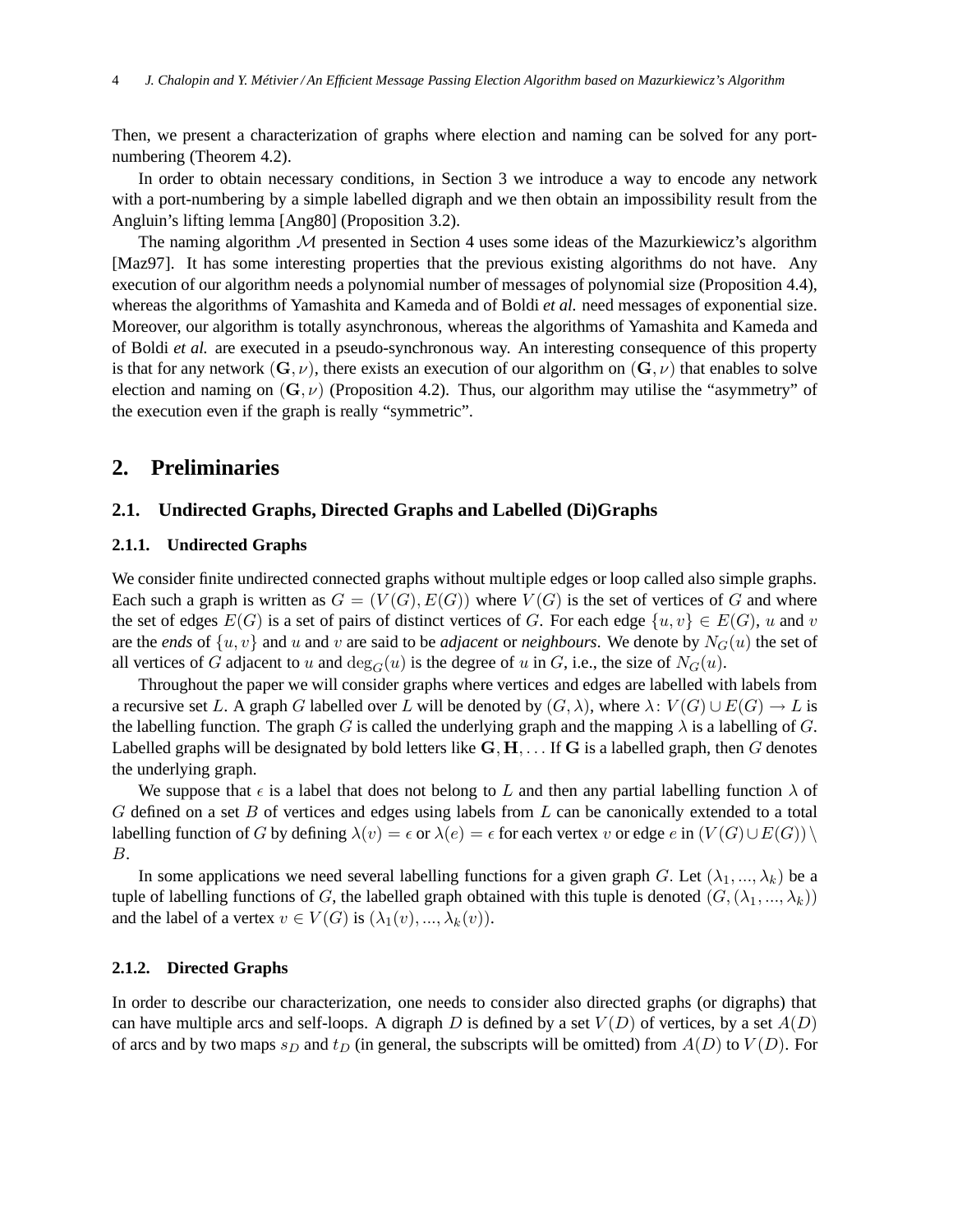Then, we present a characterization of graphs where election and naming can be solved for any portnumbering (Theorem 4.2).

In order to obtain necessary conditions, in Section 3 we introduce a way to encode any network with a port-numbering by a simple labelled digraph and we then obtain an impossibility result from the Angluin's lifting lemma [Ang80] (Proposition 3.2).

The naming algorithm  $M$  presented in Section 4 uses some ideas of the Mazurkiewicz's algorithm [Maz97]. It has some interesting properties that the previous existing algorithms do not have. Any execution of our algorithm needs a polynomial number of messages of polynomial size (Proposition 4.4), whereas the algorithms of Yamashita and Kameda and of Boldi *et al.* need messages of exponential size. Moreover, our algorithm is totally asynchronous, whereas the algorithms of Yamashita and Kameda and of Boldi *et al.* are executed in a pseudo-synchronous way. An interesting consequence of this property is that for any network  $(G, \nu)$ , there exists an execution of our algorithm on  $(G, \nu)$  that enables to solve election and naming on  $(G, \nu)$  (Proposition 4.2). Thus, our algorithm may utilise the "asymmetry" of the execution even if the graph is really "symmetric".

# **2. Preliminaries**

### **2.1. Undirected Graphs, Directed Graphs and Labelled (Di)Graphs**

#### **2.1.1. Undirected Graphs**

We consider finite undirected connected graphs without multiple edges or loop called also simple graphs. Each such a graph is written as  $G = (V(G), E(G))$  where  $V(G)$  is the set of vertices of G and where the set of edges  $E(G)$  is a set of pairs of distinct vertices of G. For each edge  $\{u, v\} \in E(G)$ , u and v are the *ends* of  $\{u, v\}$  and u and v are said to be *adjacent* or *neighbours*. We denote by  $N_G(u)$  the set of all vertices of G adjacent to u and  $\deg_G(u)$  is the degree of u in G, i.e., the size of  $N_G(u)$ .

Throughout the paper we will consider graphs where vertices and edges are labelled with labels from a recursive set L. A graph G labelled over L will be denoted by  $(G, \lambda)$ , where  $\lambda: V(G) \cup E(G) \to L$  is the labelling function. The graph G is called the underlying graph and the mapping  $\lambda$  is a labelling of G. Labelled graphs will be designated by bold letters like  $G, H, \ldots$  If G is a labelled graph, then G denotes the underlying graph.

We suppose that  $\epsilon$  is a label that does not belong to L and then any partial labelling function  $\lambda$  of  $G$  defined on a set  $B$  of vertices and edges using labels from  $L$  can be canonically extended to a total labelling function of G by defining  $\lambda(v) = \epsilon$  or  $\lambda(e) = \epsilon$  for each vertex v or edge e in  $(V(G) \cup E(G)) \setminus$ B.

In some applications we need several labelling functions for a given graph G. Let  $(\lambda_1, ..., \lambda_k)$  be a tuple of labelling functions of G, the labelled graph obtained with this tuple is denoted  $(G,(\lambda_1, ..., \lambda_k))$ and the label of a vertex  $v \in V(G)$  is  $(\lambda_1(v), ..., \lambda_k(v))$ .

#### **2.1.2. Directed Graphs**

In order to describe our characterization, one needs to consider also directed graphs (or digraphs) that can have multiple arcs and self-loops. A digraph D is defined by a set  $V(D)$  of vertices, by a set  $A(D)$ of arcs and by two maps  $s_D$  and  $t_D$  (in general, the subscripts will be omitted) from  $A(D)$  to  $V(D)$ . For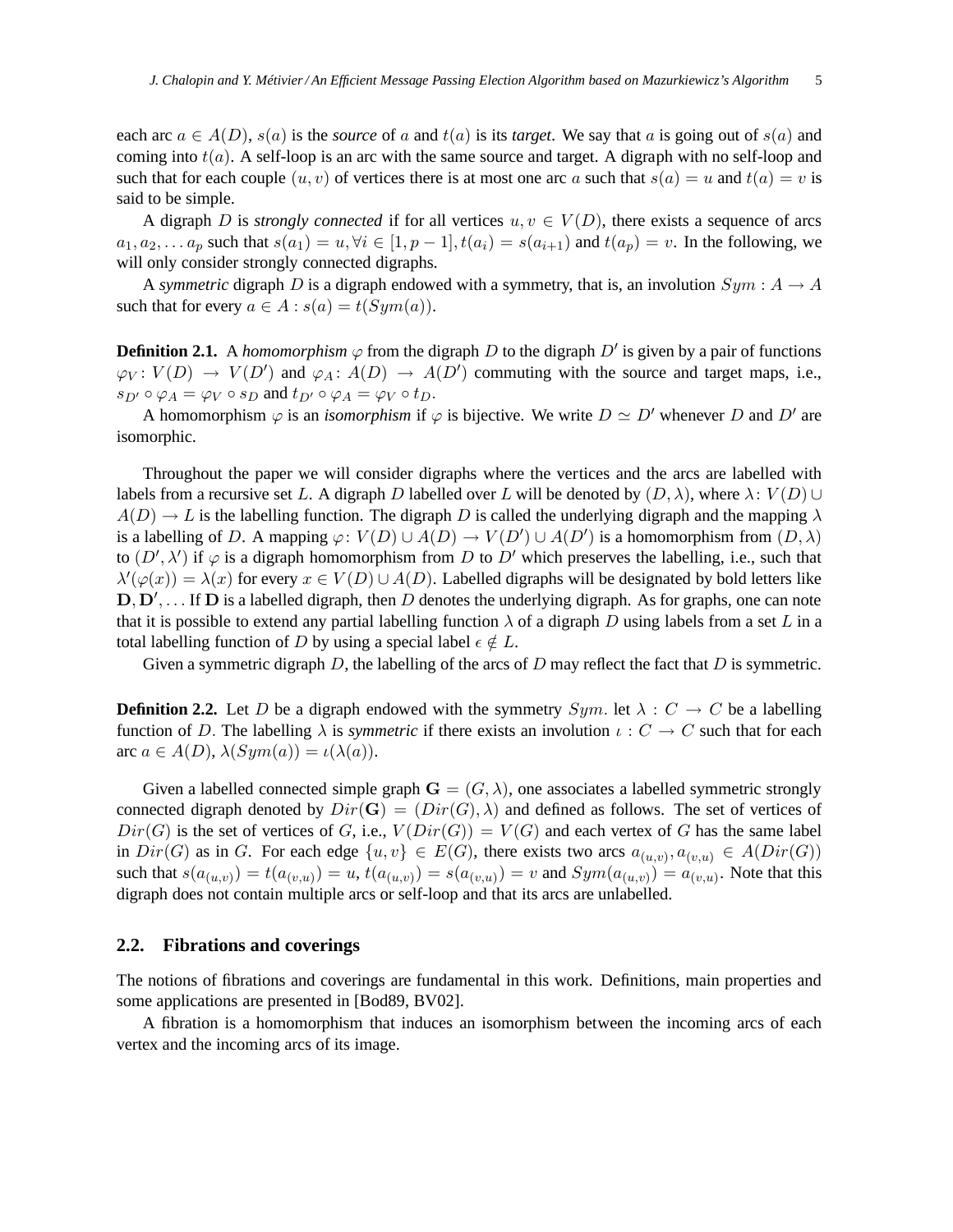each arc  $a \in A(D)$ ,  $s(a)$  is the *source* of a and  $t(a)$  is its *target*. We say that a is going out of  $s(a)$  and coming into  $t(a)$ . A self-loop is an arc with the same source and target. A digraph with no self-loop and such that for each couple  $(u, v)$  of vertices there is at most one arc a such that  $s(a) = u$  and  $t(a) = v$  is said to be simple.

A digraph D is *strongly connected* if for all vertices  $u, v \in V(D)$ , there exists a sequence of arcs  $a_1, a_2, \ldots a_n$  such that  $s(a_1) = u, \forall i \in [1, p-1], t(a_i) = s(a_{i+1})$  and  $t(a_n) = v$ . In the following, we will only consider strongly connected digraphs.

A *symmetric* digraph D is a digraph endowed with a symmetry, that is, an involution  $Sym : A \rightarrow A$ such that for every  $a \in A : s(a) = t(Sym(a)).$ 

**Definition 2.1.** A *homomorphism*  $\varphi$  from the digraph D to the digraph D' is given by a pair of functions  $\varphi_V: V(D) \to V(D')$  and  $\varphi_A: A(D) \to A(D')$  commuting with the source and target maps, i.e.,  $s_{D'} \circ \varphi_A = \varphi_V \circ s_D$  and  $t_{D'} \circ \varphi_A = \varphi_V \circ t_D$ .

A homomorphism  $\varphi$  is an *isomorphism* if  $\varphi$  is bijective. We write  $D \simeq D'$  whenever D and D' are isomorphic.

Throughout the paper we will consider digraphs where the vertices and the arcs are labelled with labels from a recursive set L. A digraph D labelled over L will be denoted by  $(D, \lambda)$ , where  $\lambda: V(D) \cup$  $A(D) \rightarrow L$  is the labelling function. The digraph D is called the underlying digraph and the mapping  $\lambda$ is a labelling of D. A mapping  $\varphi: V(D) \cup A(D) \to V(D') \cup A(D')$  is a homomorphism from  $(D, \lambda)$ to  $(D', \lambda')$  if  $\varphi$  is a digraph homomorphism from D to D' which preserves the labelling, i.e., such that  $\lambda'(\varphi(x)) = \lambda(x)$  for every  $x \in V(D) \cup A(D)$ . Labelled digraphs will be designated by bold letters like  $\mathbf{D}, \mathbf{D}', \dots$  If  $\mathbf{D}$  is a labelled digraph, then D denotes the underlying digraph. As for graphs, one can note that it is possible to extend any partial labelling function  $\lambda$  of a digraph D using labels from a set L in a total labelling function of D by using a special label  $\epsilon \notin L$ .

Given a symmetric digraph  $D$ , the labelling of the arcs of  $D$  may reflect the fact that  $D$  is symmetric.

**Definition 2.2.** Let D be a digraph endowed with the symmetry  $Sym$ . let  $\lambda : C \to C$  be a labelling function of D. The labelling  $\lambda$  is *symmetric* if there exists an involution  $\iota: C \to C$  such that for each arc  $a \in A(D)$ ,  $\lambda(Sym(a)) = \iota(\lambda(a))$ .

Given a labelled connected simple graph  $\mathbf{G} = (G, \lambda)$ , one associates a labelled symmetric strongly connected digraph denoted by  $Dir(G) = (Dir(G), \lambda)$  and defined as follows. The set of vertices of  $Dir(G)$  is the set of vertices of G, i.e.,  $V(Dir(G)) = V(G)$  and each vertex of G has the same label in  $Dir(G)$  as in G. For each edge  $\{u, v\} \in E(G)$ , there exists two arcs  $a_{(u,v)}, a_{(v,u)} \in A(Dir(G))$ such that  $s(a_{(u,v)}) = t(a_{(v,u)}) = u$ ,  $t(a_{(u,v)}) = s(a_{(v,u)}) = v$  and  $Sym(a_{(u,v)}) = a_{(v,u)}$ . Note that this digraph does not contain multiple arcs or self-loop and that its arcs are unlabelled.

# **2.2. Fibrations and coverings**

The notions of fibrations and coverings are fundamental in this work. Definitions, main properties and some applications are presented in [Bod89, BV02].

A fibration is a homomorphism that induces an isomorphism between the incoming arcs of each vertex and the incoming arcs of its image.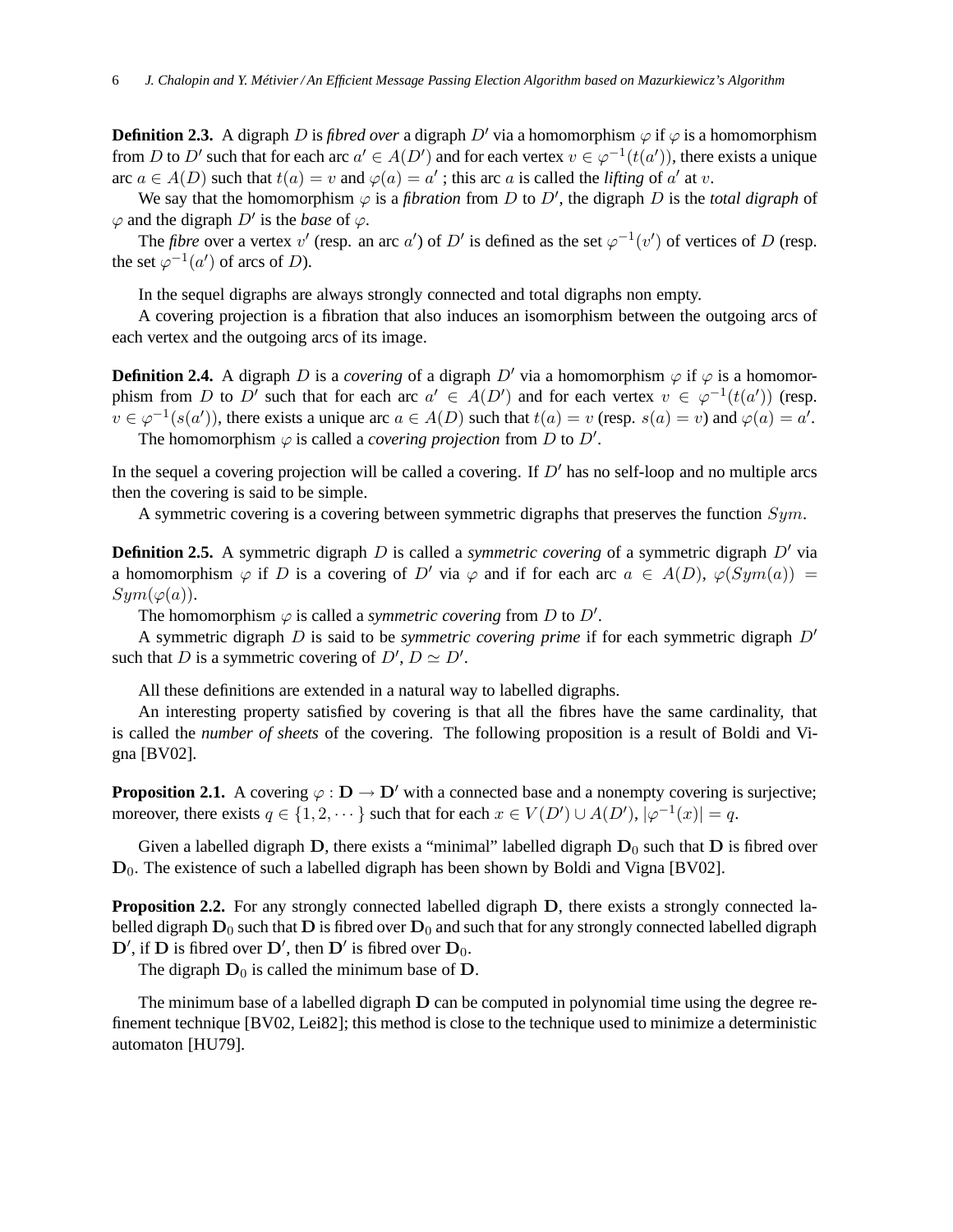**Definition 2.3.** A digraph D is *fibred over* a digraph  $D'$  via a homomorphism  $\varphi$  if  $\varphi$  is a homomorphism from D to D' such that for each arc  $a' \in A(D')$  and for each vertex  $v \in \varphi^{-1}(t(a'))$ , there exists a unique arc  $a \in A(D)$  such that  $t(a) = v$  and  $\varphi(a) = a'$ ; this arc a is called the *lifting* of a' at v.

We say that the homomorphism  $\varphi$  is a *fibration* from D to D', the digraph D is the *total digraph* of  $\varphi$  and the digraph  $D'$  is the *base* of  $\varphi$ .

The *fibre* over a vertex v' (resp. an arc a') of D' is defined as the set  $\varphi^{-1}(v')$  of vertices of D (resp. the set  $\varphi^{-1}(a')$  of arcs of *D*).

In the sequel digraphs are always strongly connected and total digraphs non empty.

A covering projection is a fibration that also induces an isomorphism between the outgoing arcs of each vertex and the outgoing arcs of its image.

**Definition 2.4.** A digraph D is a *covering* of a digraph D' via a homomorphism  $\varphi$  if  $\varphi$  is a homomorphism from D to D' such that for each arc  $a' \in A(D')$  and for each vertex  $v \in \varphi^{-1}(t(a'))$  (resp.  $v \in \varphi^{-1}(s(a'))$ , there exists a unique arc  $a \in A(D)$  such that  $t(a) = v$  (resp.  $s(a) = v$ ) and  $\varphi(a) = a'$ . The homomorphism  $\varphi$  is called a *covering projection* from  $D$  to  $D'$ .

In the sequel a covering projection will be called a covering. If  $D'$  has no self-loop and no multiple arcs then the covering is said to be simple.

A symmetric covering is a covering between symmetric digraphs that preserves the function Sym.

**Definition 2.5.** A symmetric digraph D is called a *symmetric covering* of a symmetric digraph D′ via a homomorphism  $\varphi$  if D is a covering of D' via  $\varphi$  and if for each arc  $a \in A(D)$ ,  $\varphi(Sym(a)) =$  $Sym(\varphi(a)).$ 

The homomorphism  $\varphi$  is called a *symmetric covering* from  $D$  to  $D'$ .

A symmetric digraph D is said to be *symmetric covering prime* if for each symmetric digraph D′ such that D is a symmetric covering of  $D'$ ,  $D \simeq D'$ .

All these definitions are extended in a natural way to labelled digraphs.

An interesting property satisfied by covering is that all the fibres have the same cardinality, that is called the *number of sheets* of the covering. The following proposition is a result of Boldi and Vigna [BV02].

**Proposition 2.1.** A covering  $\varphi : \mathbf{D} \to \mathbf{D}'$  with a connected base and a nonempty covering is surjective; moreover, there exists  $q \in \{1, 2, \dots\}$  such that for each  $x \in V(D') \cup A(D')$ ,  $|\varphi^{-1}(x)| = q$ .

Given a labelled digraph  $D$ , there exists a "minimal" labelled digraph  $D_0$  such that  $D$  is fibred over  $D_0$ . The existence of such a labelled digraph has been shown by Boldi and Vigna [BV02].

**Proposition 2.2.** For any strongly connected labelled digraph D, there exists a strongly connected labelled digraph  $D_0$  such that  $D$  is fibred over  $D_0$  and such that for any strongly connected labelled digraph  $\mathbf{D}'$ , if  $\mathbf{D}$  is fibred over  $\mathbf{D}'$ , then  $\mathbf{D}'$  is fibred over  $\mathbf{D}_0$ .

The digraph  $D_0$  is called the minimum base of D.

The minimum base of a labelled digraph D can be computed in polynomial time using the degree refinement technique [BV02, Lei82]; this method is close to the technique used to minimize a deterministic automaton [HU79].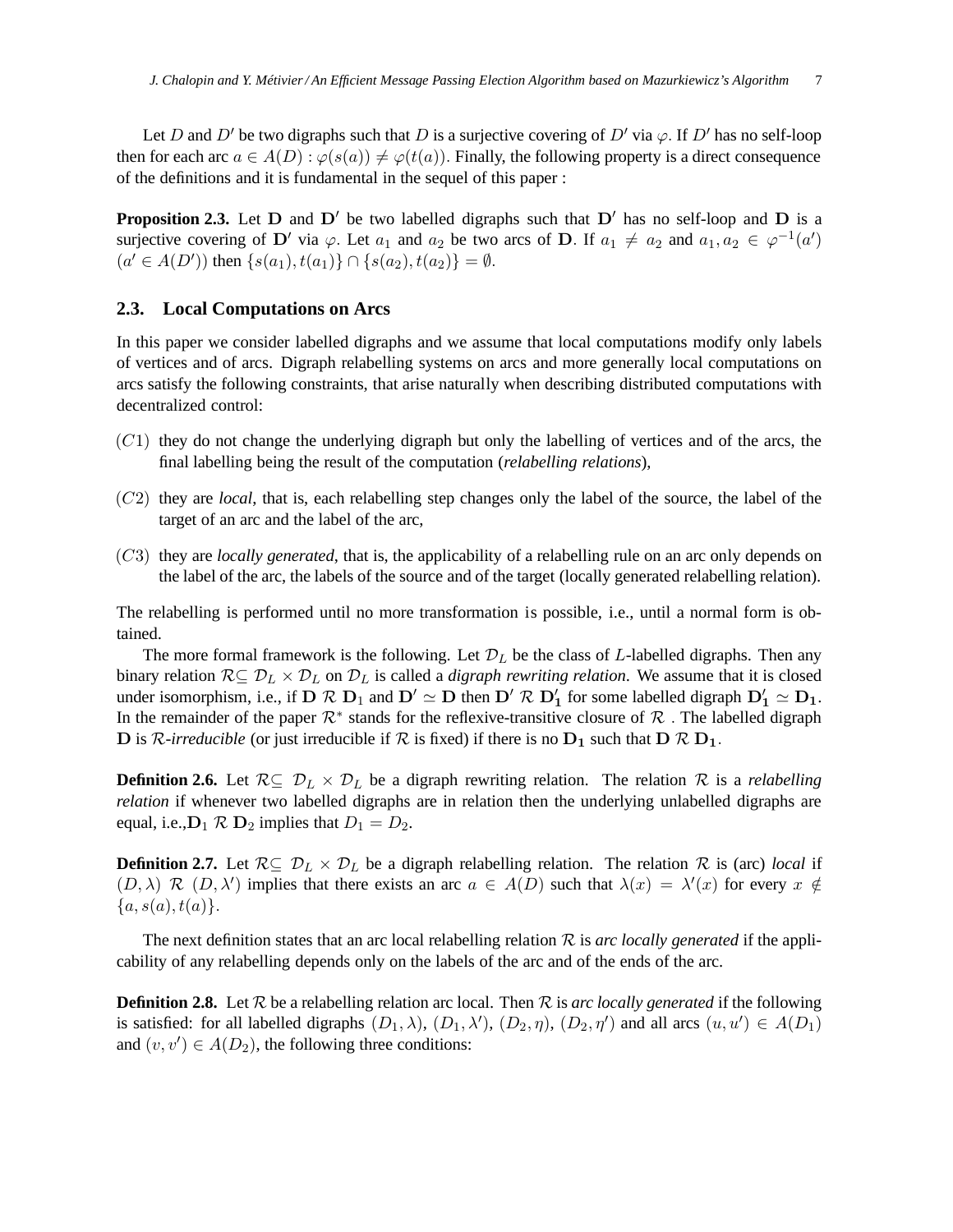Let D and D' be two digraphs such that D is a surjective covering of D' via  $\varphi$ . If D' has no self-loop then for each arc  $a \in A(D)$ :  $\varphi(s(a)) \neq \varphi(t(a))$ . Finally, the following property is a direct consequence of the definitions and it is fundamental in the sequel of this paper :

**Proposition 2.3.** Let  $D$  and  $D'$  be two labelled digraphs such that  $D'$  has no self-loop and  $D$  is a surjective covering of D' via  $\varphi$ . Let  $a_1$  and  $a_2$  be two arcs of D. If  $a_1 \neq a_2$  and  $a_1, a_2 \in \varphi^{-1}(a')$  $(a' \in A(D'))$  then  $\{s(a_1), t(a_1)\} \cap \{s(a_2), t(a_2)\} = \emptyset$ .

### **2.3. Local Computations on Arcs**

In this paper we consider labelled digraphs and we assume that local computations modify only labels of vertices and of arcs. Digraph relabelling systems on arcs and more generally local computations on arcs satisfy the following constraints, that arise naturally when describing distributed computations with decentralized control:

- $(C1)$  they do not change the underlying digraph but only the labelling of vertices and of the arcs, the final labelling being the result of the computation (*relabelling relations*),
- (C2) they are *local*, that is, each relabelling step changes only the label of the source, the label of the target of an arc and the label of the arc,
- (C3) they are *locally generated*, that is, the applicability of a relabelling rule on an arc only depends on the label of the arc, the labels of the source and of the target (locally generated relabelling relation).

The relabelling is performed until no more transformation is possible, i.e., until a normal form is obtained.

The more formal framework is the following. Let  $\mathcal{D}_L$  be the class of L-labelled digraphs. Then any binary relation  $\mathcal{R} \subseteq \mathcal{D}_L \times \mathcal{D}_L$  on  $\mathcal{D}_L$  is called a *digraph rewriting relation*. We assume that it is closed under isomorphism, i.e., if  $D \mathcal{R} D_1$  and  $D' \simeq D$  then  $D' \mathcal{R} D'_1$  for some labelled digraph  $D'_1 \simeq D_1$ . In the remainder of the paper  $\mathcal{R}^*$  stands for the reflexive-transitive closure of  $\mathcal R$ . The labelled digraph D is R-irreducible (or just irreducible if  $R$  is fixed) if there is no  $D_1$  such that  $D R D_1$ .

**Definition 2.6.** Let  $\mathcal{R} \subseteq \mathcal{D}_L \times \mathcal{D}_L$  be a digraph rewriting relation. The relation  $\mathcal{R}$  is a *relabelling relation* if whenever two labelled digraphs are in relation then the underlying unlabelled digraphs are equal, i.e.,  $D_1 \mathcal{R} D_2$  implies that  $D_1 = D_2$ .

**Definition 2.7.** Let  $\mathcal{R} \subseteq \mathcal{D}_L \times \mathcal{D}_L$  be a digraph relabelling relation. The relation  $\mathcal{R}$  is (arc) *local* if  $(D, \lambda)$  R  $(D, \lambda')$  implies that there exists an arc  $a \in A(D)$  such that  $\lambda(x) = \lambda'(x)$  for every  $x \notin A(D)$  ${a, s(a), t(a)}.$ 

The next definition states that an arc local relabelling relation  $R$  is *arc locally generated* if the applicability of any relabelling depends only on the labels of the arc and of the ends of the arc.

**Definition 2.8.** Let  $\mathcal{R}$  be a relabelling relation arc local. Then  $\mathcal{R}$  is *arc locally generated* if the following is satisfied: for all labelled digraphs  $(D_1, \lambda)$ ,  $(D_1, \lambda')$ ,  $(D_2, \eta)$ ,  $(D_2, \eta')$  and all arcs  $(u, u') \in A(D_1)$ and  $(v, v') \in A(D_2)$ , the following three conditions: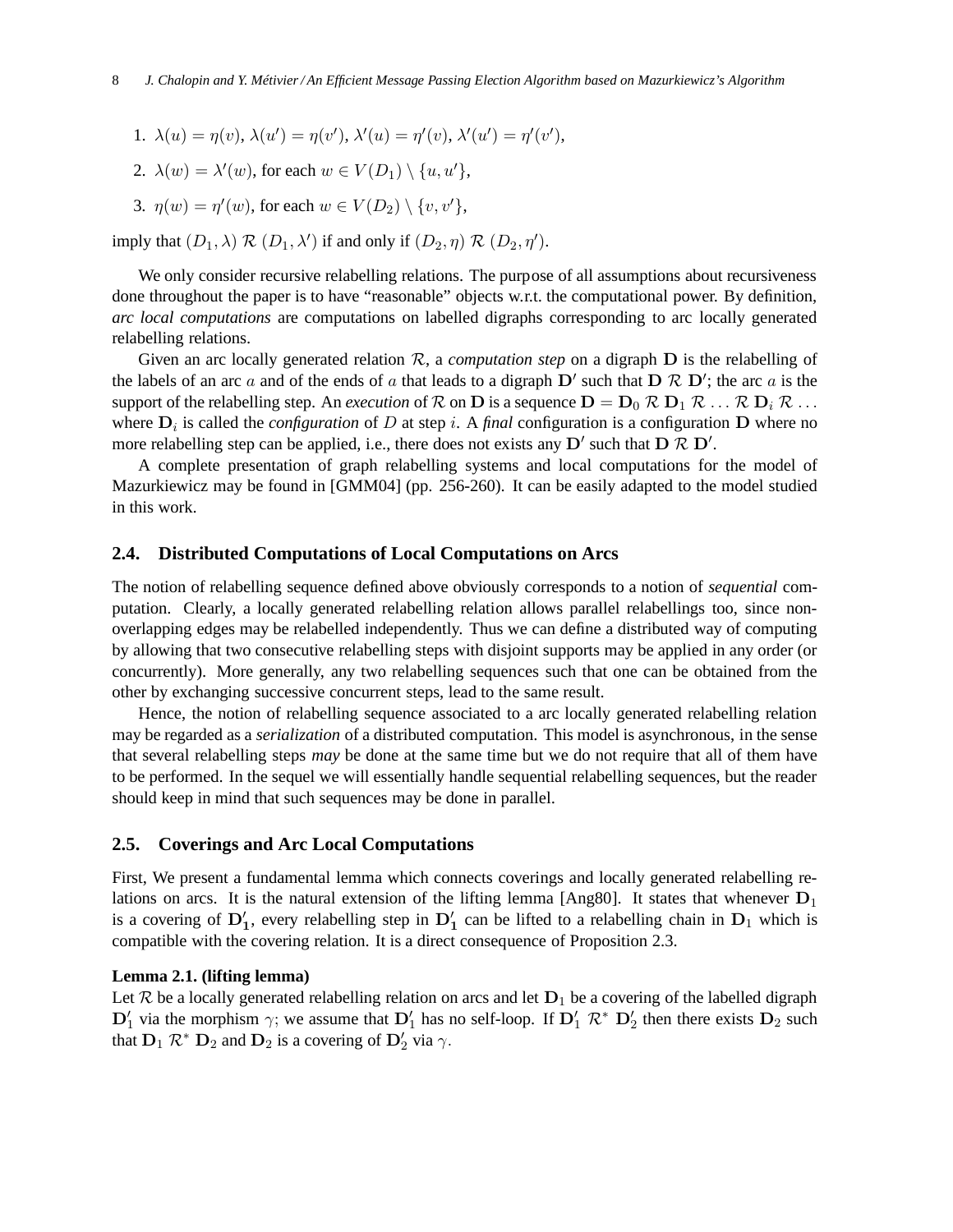- 1.  $\lambda(u) = \eta(v)$ ,  $\lambda(u') = \eta(v')$ ,  $\lambda'(u) = \eta'(v)$ ,  $\lambda'(u') = \eta'(v')$ ,
- 2.  $\lambda(w) = \lambda'(w)$ , for each  $w \in V(D_1) \setminus \{u, u'\}$ ,
- 3.  $\eta(w) = \eta'(w)$ , for each  $w \in V(D_2) \setminus \{v, v'\},$

imply that  $(D_1, \lambda)$   $\mathcal{R}$   $(D_1, \lambda')$  if and only if  $(D_2, \eta)$   $\mathcal{R}$   $(D_2, \eta')$ .

We only consider recursive relabelling relations. The purpose of all assumptions about recursiveness done throughout the paper is to have "reasonable" objects w.r.t. the computational power. By definition, *arc local computations* are computations on labelled digraphs corresponding to arc locally generated relabelling relations.

Given an arc locally generated relation R, a *computation step* on a digraph D is the relabelling of the labels of an arc a and of the ends of a that leads to a digraph  $\mathbf{D}'$  such that  $\mathbf{D} \mathcal{R} \mathbf{D}'$ ; the arc a is the support of the relabelling step. An *execution* of R on **D** is a sequence  $D = D_0 \mathcal{R} D_1 \mathcal{R} \dots \mathcal{R} D_i \mathcal{R} \dots$ where  $D_i$  is called the *configuration* of D at step *i*. A *final* configuration is a configuration D where no more relabelling step can be applied, i.e., there does not exists any  $D'$  such that  $D \mathcal{R} D'$ .

A complete presentation of graph relabelling systems and local computations for the model of Mazurkiewicz may be found in [GMM04] (pp. 256-260). It can be easily adapted to the model studied in this work.

### **2.4. Distributed Computations of Local Computations on Arcs**

The notion of relabelling sequence defined above obviously corresponds to a notion of *sequential* computation. Clearly, a locally generated relabelling relation allows parallel relabellings too, since nonoverlapping edges may be relabelled independently. Thus we can define a distributed way of computing by allowing that two consecutive relabelling steps with disjoint supports may be applied in any order (or concurrently). More generally, any two relabelling sequences such that one can be obtained from the other by exchanging successive concurrent steps, lead to the same result.

Hence, the notion of relabelling sequence associated to a arc locally generated relabelling relation may be regarded as a *serialization* of a distributed computation. This model is asynchronous, in the sense that several relabelling steps *may* be done at the same time but we do not require that all of them have to be performed. In the sequel we will essentially handle sequential relabelling sequences, but the reader should keep in mind that such sequences may be done in parallel.

### **2.5. Coverings and Arc Local Computations**

First, We present a fundamental lemma which connects coverings and locally generated relabelling relations on arcs. It is the natural extension of the lifting lemma [Ang80]. It states that whenever  $D_1$ is a covering of  $D'_1$ , every relabelling step in  $D'_1$  can be lifted to a relabelling chain in  $D_1$  which is compatible with the covering relation. It is a direct consequence of Proposition 2.3.

### **Lemma 2.1. (lifting lemma)**

Let R be a locally generated relabelling relation on arcs and let  $D_1$  be a covering of the labelled digraph  $\mathbf{D}'_1$  via the morphism  $\gamma$ ; we assume that  $\mathbf{D}'_1$  has no self-loop. If  $\mathbf{D}'_1 \mathcal{R}^* \mathbf{D}'_2$  then there exists  $\mathbf{D}_2$  such that  $\mathbf{D}_1 \mathcal{R}^* \mathbf{D}_2$  and  $\mathbf{D}_2$  is a covering of  $\mathbf{D}'_2$  via  $\gamma$ .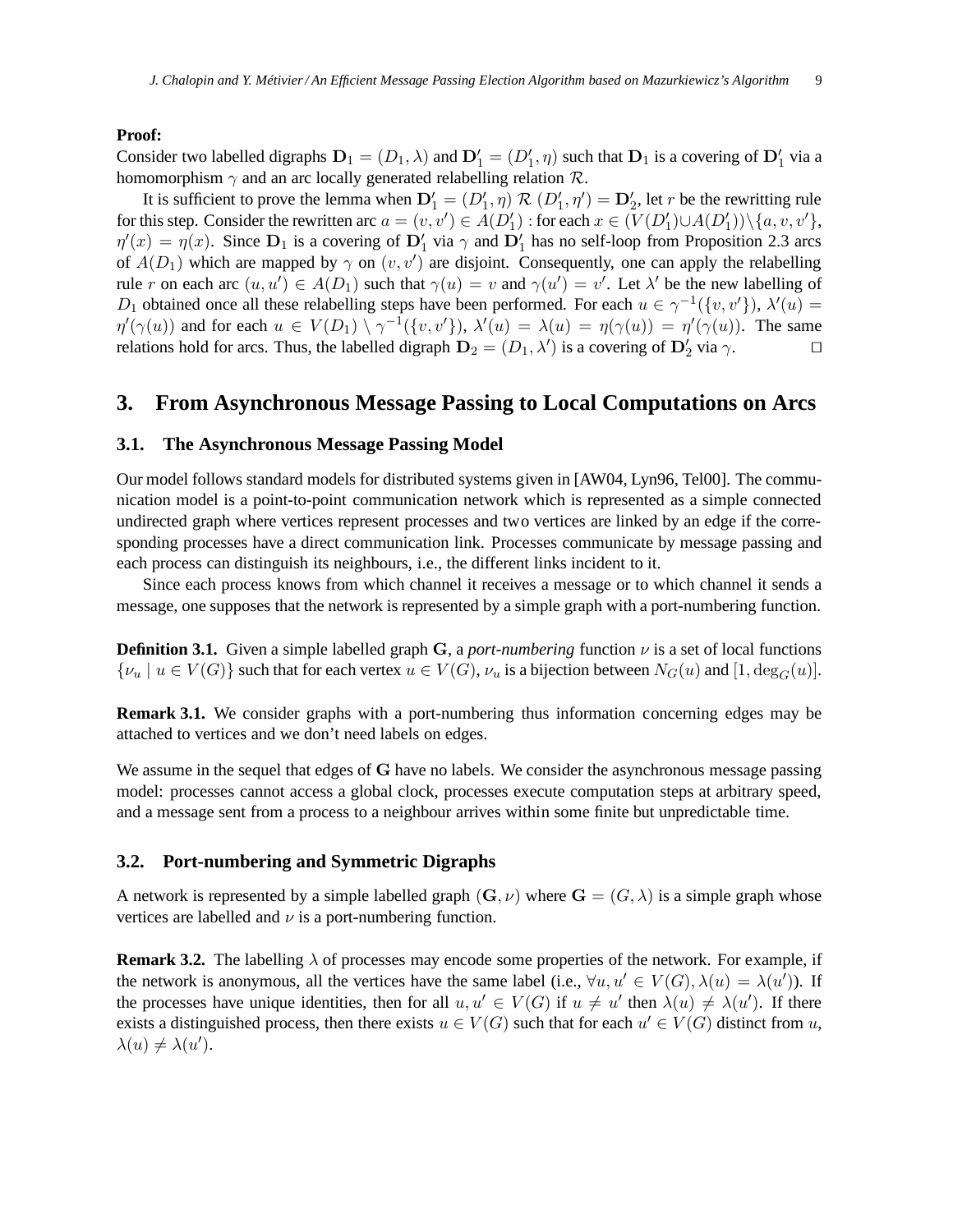#### **Proof:**

Consider two labelled digraphs  $D_1 = (D_1, \lambda)$  and  $D'_1 = (D'_1, \eta)$  such that  $D_1$  is a covering of  $D'_1$  via a homomorphism  $\gamma$  and an arc locally generated relabelling relation  $\mathcal{R}$ .

It is sufficient to prove the lemma when  $D'_1 = (D'_1, \eta) \mathcal{R} (D'_1, \eta') = D'_2$ , let r be the rewritting rule for this step. Consider the rewritten arc  $a = (v, v') \in A(D'_1)$  : for each  $x \in (V(D'_1) \cup A(D'_1)) \setminus \{a, v, v'\},$  $\eta'(x) = \eta(x)$ . Since  $D_1$  is a covering of  $D'_1$  via  $\gamma$  and  $D'_1$  has no self-loop from Proposition 2.3 arcs of  $A(D_1)$  which are mapped by  $\gamma$  on  $(v, v')$  are disjoint. Consequently, one can apply the relabelling rule r on each arc  $(u, u') \in A(D_1)$  such that  $\gamma(u) = v$  and  $\gamma(u') = v'$ . Let  $\lambda'$  be the new labelling of D<sub>1</sub> obtained once all these relabelling steps have been performed. For each  $u \in \gamma^{-1}(\{v, v'\})$ ,  $\lambda'(u) =$  $\eta'(\gamma(u))$  and for each  $u \in V(D_1) \setminus \gamma^{-1}(\lbrace v, v' \rbrace)$ ,  $\lambda'(u) = \lambda(u) = \eta(\gamma(u)) = \eta'(\gamma(u))$ . The same relations hold for arcs. Thus, the labelled digraph  $\mathbf{D}_2 = (D_1, \lambda')$  is a covering of  $\mathbf{D}'_2$  via  $\gamma$ .

# **3. From Asynchronous Message Passing to Local Computations on Arcs**

# **3.1. The Asynchronous Message Passing Model**

Our model follows standard models for distributed systems given in [AW04, Lyn96, Tel00]. The communication model is a point-to-point communication network which is represented as a simple connected undirected graph where vertices represent processes and two vertices are linked by an edge if the corresponding processes have a direct communication link. Processes communicate by message passing and each process can distinguish its neighbours, i.e., the different links incident to it.

Since each process knows from which channel it receives a message or to which channel it sends a message, one supposes that the network is represented by a simple graph with a port-numbering function.

**Definition 3.1.** Given a simple labelled graph G, a *port-numbering* function ν is a set of local functions  $\{\nu_u \mid u \in V(G)\}\$  such that for each vertex  $u \in V(G)$ ,  $\nu_u$  is a bijection between  $N_G(u)$  and  $[1, \deg_G(u)]$ .

**Remark 3.1.** We consider graphs with a port-numbering thus information concerning edges may be attached to vertices and we don't need labels on edges.

We assume in the sequel that edges of G have no labels. We consider the asynchronous message passing model: processes cannot access a global clock, processes execute computation steps at arbitrary speed, and a message sent from a process to a neighbour arrives within some finite but unpredictable time.

## **3.2. Port-numbering and Symmetric Digraphs**

A network is represented by a simple labelled graph  $(G, \nu)$  where  $G = (G, \lambda)$  is a simple graph whose vertices are labelled and  $\nu$  is a port-numbering function.

**Remark 3.2.** The labelling  $\lambda$  of processes may encode some properties of the network. For example, if the network is anonymous, all the vertices have the same label (i.e.,  $\forall u, u' \in V(G), \lambda(u) = \lambda(u')$ ). If the processes have unique identities, then for all  $u, u' \in V(G)$  if  $u \neq u'$  then  $\lambda(u) \neq \lambda(u')$ . If there exists a distinguished process, then there exists  $u \in V(G)$  such that for each  $u' \in V(G)$  distinct from u,  $\lambda(u) \neq \lambda(u').$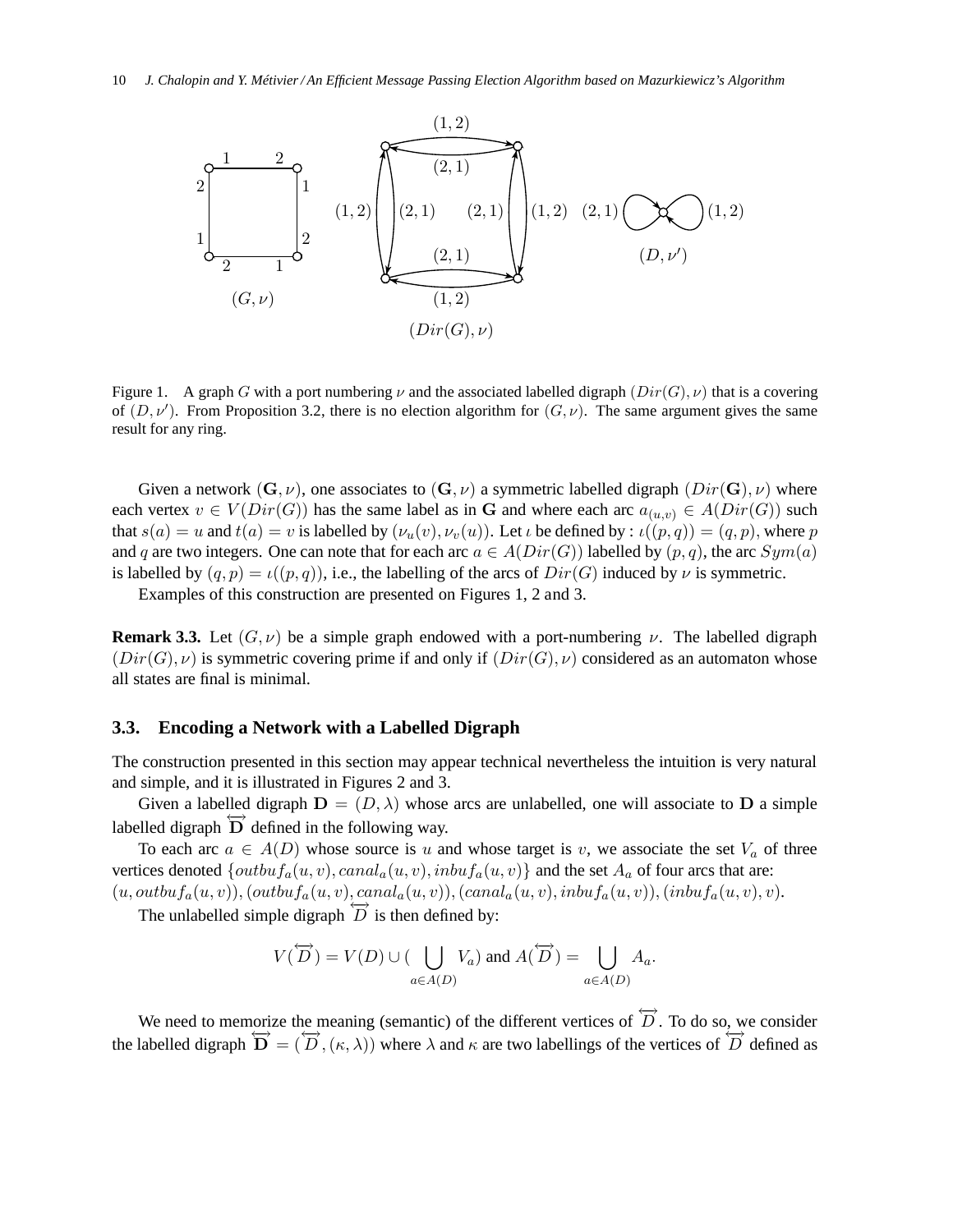

Figure 1. A graph G with a port numbering  $\nu$  and the associated labelled digraph  $(Dir(G), \nu)$  that is a covering of  $(D, \nu')$ . From Proposition 3.2, there is no election algorithm for  $(G, \nu)$ . The same argument gives the same result for any ring.

Given a network  $(G, \nu)$ , one associates to  $(G, \nu)$  a symmetric labelled digraph  $(Dir(G), \nu)$  where each vertex  $v \in V(Dir(G))$  has the same label as in G and where each arc  $a_{(u,v)} \in A(Dir(G))$  such that  $s(a) = u$  and  $t(a) = v$  is labelled by  $(\nu_u(v), \nu_v(u))$ . Let  $\iota$  be defined by :  $\iota((p, q)) = (q, p)$ , where p and q are two integers. One can note that for each arc  $a \in A(Dir(G))$  labelled by  $(p, q)$ , the arc  $Sym(a)$ is labelled by  $(q, p) = \iota((p, q))$ , i.e., the labelling of the arcs of  $Dir(G)$  induced by  $\nu$  is symmetric.

Examples of this construction are presented on Figures 1, 2 and 3.

**Remark 3.3.** Let  $(G, \nu)$  be a simple graph endowed with a port-numbering  $\nu$ . The labelled digraph  $(Dir(G), \nu)$  is symmetric covering prime if and only if  $(Dir(G), \nu)$  considered as an automaton whose all states are final is minimal.

#### **3.3. Encoding a Network with a Labelled Digraph**

The construction presented in this section may appear technical nevertheless the intuition is very natural and simple, and it is illustrated in Figures 2 and 3.

Given a labelled digraph  $D = (D, \lambda)$  whose arcs are unlabelled, one will associate to D a simple labelled digraph  $\overrightarrow{D}$  defined in the following way.

To each arc  $a \in A(D)$  whose source is u and whose target is v, we associate the set  $V_a$  of three vertices denoted  $\{outbuf_a(u,v), canal_a(u,v), inbuf_a(u,v)\}$  and the set  $A_a$  of four arcs that are:  $(u, outbuf_a(u, v)),(outbuf_a(u, v), canal_a(u, v)),(canal_a(u, v), inbuf_a(u, v)),(inbuf_a(u, v), v).$ 

The unlabelled simple digraph  $\overline{D}$  is then defined by:

$$
V(\overleftrightarrow{D}) = V(D) \cup (\bigcup_{a \in A(D)} V_a) \text{ and } A(\overleftrightarrow{D}) = \bigcup_{a \in A(D)} A_a.
$$

We need to memorize the meaning (semantic) of the different vertices of  $\overleftrightarrow{D}$ . To do so, we consider the labelled digraph  $\overleftrightarrow{\mathbf{D}} = (\overleftrightarrow{D}, (\kappa, \lambda))$  where  $\lambda$  and  $\kappa$  are two labellings of the vertices of  $\overleftrightarrow{D}$  defined as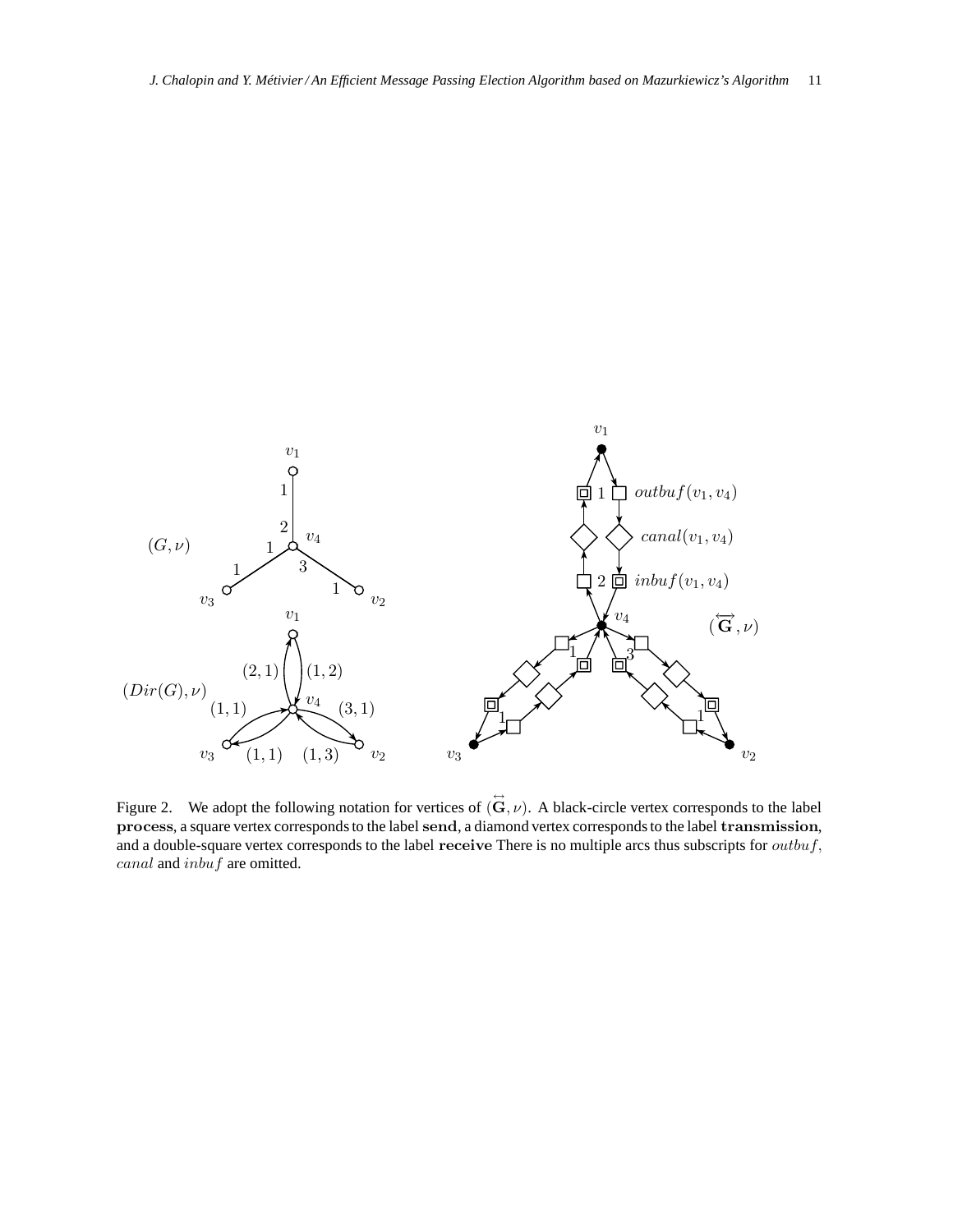

Figure 2. We adopt the following notation for vertices of  $(\vec{G}, \nu)$ . A black-circle vertex corresponds to the label process, a square vertex corresponds to the label send, a diamond vertex corresponds to the label transmission, and a double-square vertex corresponds to the label receive There is no multiple arcs thus subscripts for  $outbuf,$ canal and inbuf are omitted.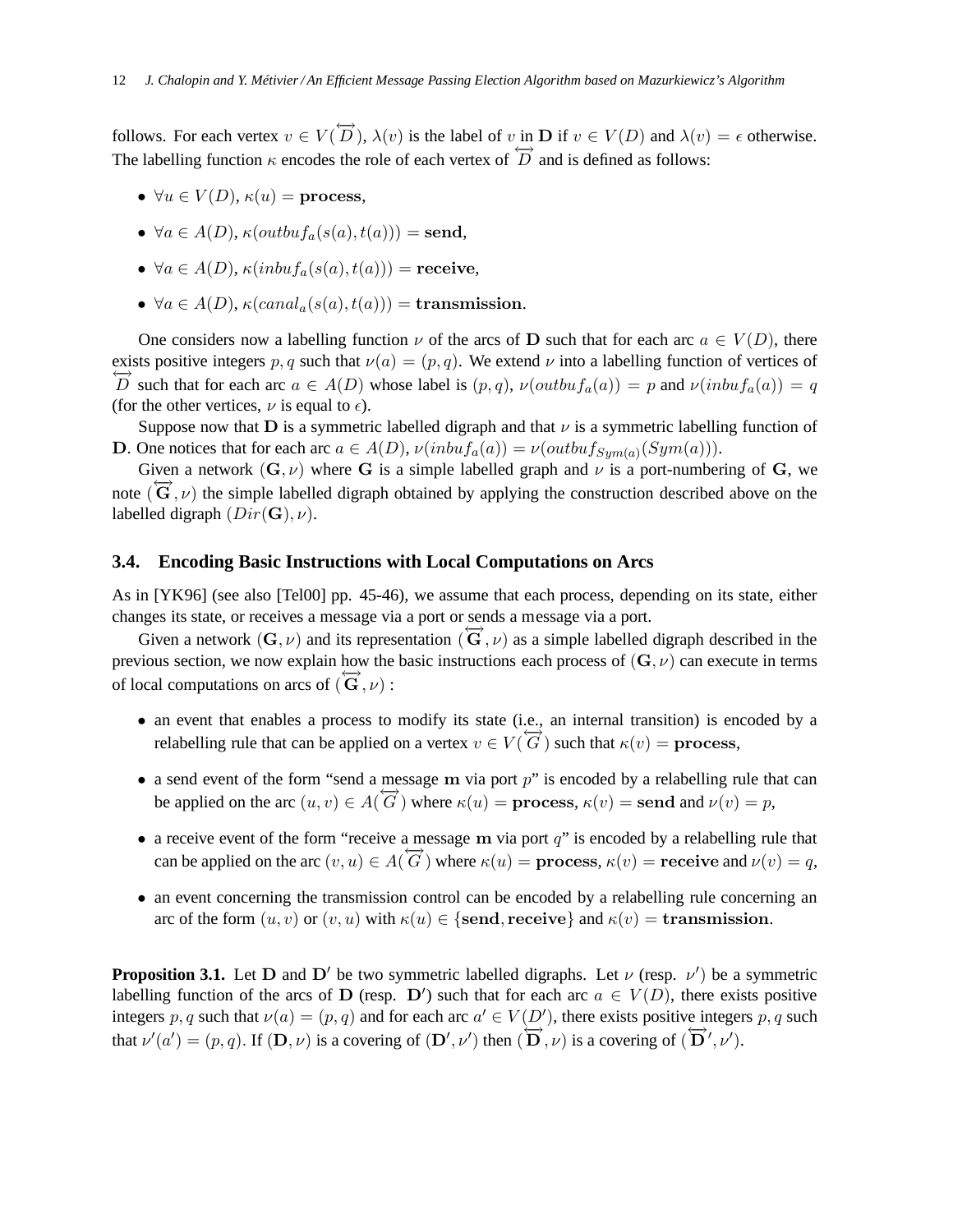follows. For each vertex  $v \in V(\overleftrightarrow{D})$ ,  $\lambda(v)$  is the label of v in **D** if  $v \in V(D)$  and  $\lambda(v) = \epsilon$  otherwise. The labelling function  $\kappa$  encodes the role of each vertex of  $\overrightarrow{D}$  and is defined as follows:

- $\forall u \in V(D)$ ,  $\kappa(u) =$  process,
- $\forall a \in A(D)$ ,  $\kappa(outbutf_a(s(a), t(a))) = \text{send},$
- $\forall a \in A(D)$ ,  $\kappa(inbu f_a(s(a), t(a)))$  = receive,
- $\forall a \in A(D)$ ,  $\kappa(canal_a(s(a), t(a))) =$ **transmission.**

One considers now a labelling function  $\nu$  of the arcs of D such that for each arc  $a \in V(D)$ , there exists positive integers p, q such that  $\nu(a) = (p, q)$ . We extend  $\nu$  into a labelling function of vertices of  $\overleftrightarrow{D}$  such that for each arc  $a \in A(D)$  whose label is  $(p, q)$ ,  $\nu(outbuf_a(a)) = p$  and  $\nu(inbufd_a(a)) = q$ (for the other vertices,  $\nu$  is equal to  $\epsilon$ ).

Suppose now that **D** is a symmetric labelled digraph and that  $\nu$  is a symmetric labelling function of **D**. One notices that for each arc  $a \in A(D)$ ,  $\nu(inbu f_a(a)) = \nu(outbu f_{Sym(a)}(Sym(a))).$ 

Given a network  $(G, \nu)$  where G is a simple labelled graph and  $\nu$  is a port-numbering of G, we note  $(\overrightarrow{G}, \nu)$  the simple labelled digraph obtained by applying the construction described above on the labelled digraph  $(Dir(\mathbf{G}), \nu)$ .

#### **3.4. Encoding Basic Instructions with Local Computations on Arcs**

As in [YK96] (see also [Tel00] pp. 45-46), we assume that each process, depending on its state, either changes its state, or receives a message via a port or sends a message via a port.

Given a network  $(G, \nu)$  and its representation  $(\vec{G}, \nu)$  as a simple labelled digraph described in the previous section, we now explain how the basic instructions each process of  $(G, \nu)$  can execute in terms of local computations on arcs of  $(\vec{G}, \nu)$ :

- an event that enables a process to modify its state (i.e., an internal transition) is encoded by a relabelling rule that can be applied on a vertex  $v \in V(\overrightarrow{G})$  such that  $\kappa(v) =$  process,
- a send event of the form "send a message m via port  $p$ " is encoded by a relabelling rule that can be applied on the arc  $(u, v) \in A(\overrightarrow{G})$  where  $\kappa(u) =$  process,  $\kappa(v) =$  send and  $\nu(v) = p$ ,
- a receive event of the form "receive a message m via port  $q$ " is encoded by a relabelling rule that can be applied on the arc  $(v, u) \in A(\overleftrightarrow{G})$  where  $\kappa(u) =$  process,  $\kappa(v) =$  receive and  $\nu(v) = q$ ,
- an event concerning the transmission control can be encoded by a relabelling rule concerning an arc of the form  $(u, v)$  or  $(v, u)$  with  $\kappa(u) \in \{\text{send}, \text{receive}\}\$  and  $\kappa(v) = \text{transmission}$ .

**Proposition 3.1.** Let  $D$  and  $D'$  be two symmetric labelled digraphs. Let  $\nu$  (resp.  $\nu'$ ) be a symmetric labelling function of the arcs of D (resp. D') such that for each arc  $a \in V(D)$ , there exists positive integers p, q such that  $\nu(a) = (p, q)$  and for each arc  $a' \in V(D')$ , there exists positive integers p, q such that  $\nu'(a') = (p, q)$ . If  $(D, \nu)$  is a covering of  $(D', \nu')$  then  $(D, \nu)$  is a covering of  $(D', \nu')$ .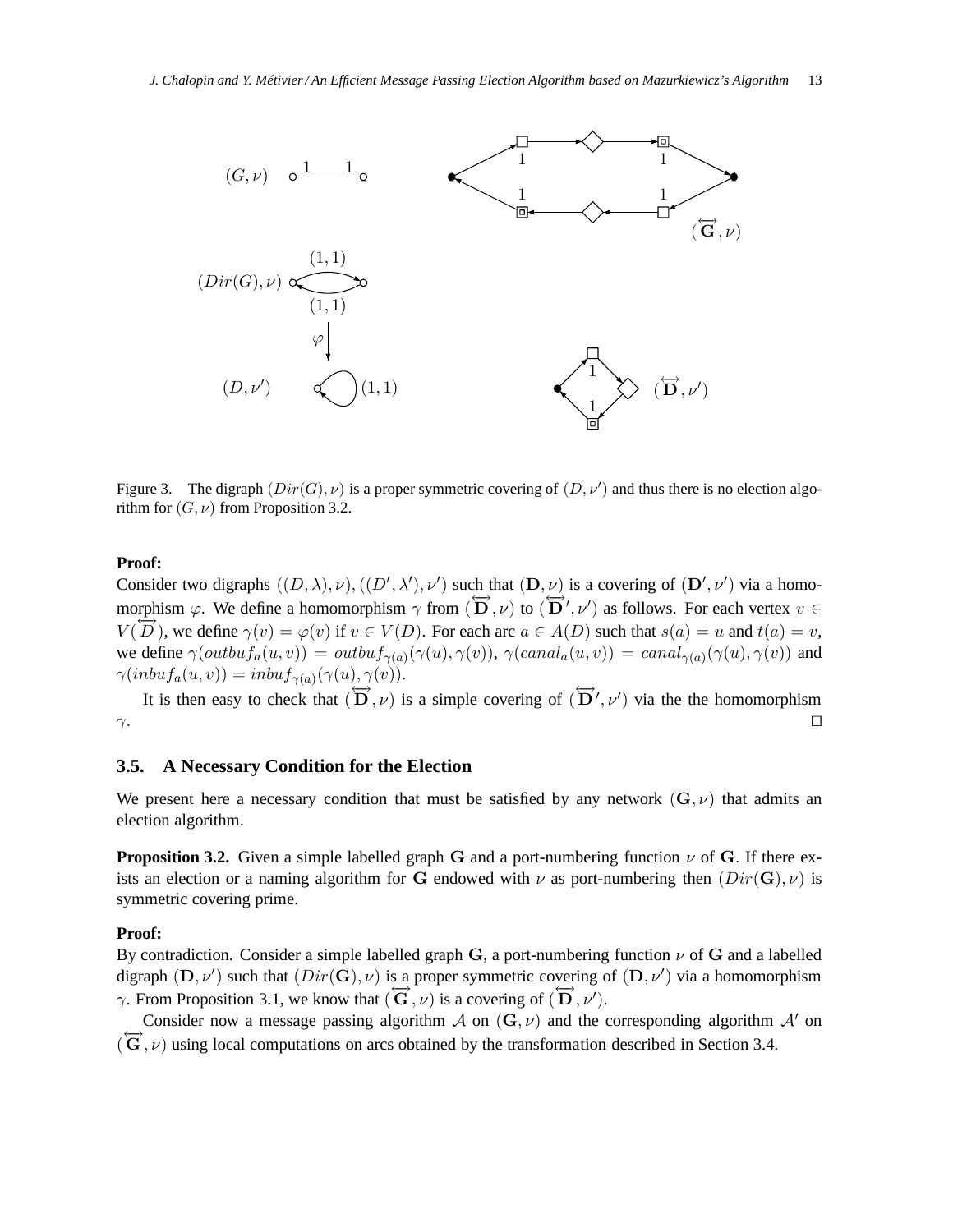

Figure 3. The digraph  $(Dir(G), \nu)$  is a proper symmetric covering of  $(D, \nu')$  and thus there is no election algorithm for  $(G, \nu)$  from Proposition 3.2.

## **Proof:**

Consider two digraphs  $((D, \lambda), \nu), ((D', \lambda'), \nu')$  such that  $(D, \nu)$  is a covering of  $(D', \nu')$  via a homomorphism  $\varphi$ . We define a homomorphism  $\gamma$  from  $(\overrightarrow{\mathbf{D}}, \nu)$  to  $(\overrightarrow{\mathbf{D}}, \nu')$  as follows. For each vertex  $v \in$  $V(D)$ , we define  $\gamma(v) = \varphi(v)$  if  $v \in V(D)$ . For each arc  $a \in A(D)$  such that  $s(a) = u$  and  $t(a) = v$ , we define  $\gamma(outbutf_a(u,v)) = outbuf_{\gamma(a)}(\gamma(u),\gamma(v)), \gamma(canal_a(u,v)) = canal_{\gamma(a)}(\gamma(u),\gamma(v))$  and  $\gamma(inbuf_a(u,v))=inbuf_{\gamma(a)}(\gamma(u),\gamma(v)).$ 

It is then easy to check that  $(\overleftrightarrow{\mathbf{D}}, \nu)$  is a simple covering of  $(\overleftrightarrow{\mathbf{D}}', \nu')$  via the the homomorphism  $\gamma$ .  $□$ 

### **3.5. A Necessary Condition for the Election**

We present here a necessary condition that must be satisfied by any network  $(G, \nu)$  that admits an election algorithm.

**Proposition 3.2.** Given a simple labelled graph G and a port-numbering function  $\nu$  of G. If there exists an election or a naming algorithm for G endowed with  $\nu$  as port-numbering then  $(Dir(G), \nu)$  is symmetric covering prime.

### **Proof:**

By contradiction. Consider a simple labelled graph G, a port-numbering function  $\nu$  of G and a labelled digraph  $(D, \nu')$  such that  $(Dir(G), \nu)$  is a proper symmetric covering of  $(D, \nu')$  via a homomorphism  $\gamma$ . From Proposition 3.1, we know that  $(\vec{G}, \nu)$  is a covering of  $(\vec{D}, \nu')$ .

Consider now a message passing algorithm A on  $(G, \nu)$  and the corresponding algorithm A' on  $(\overleftrightarrow{\mathbf{G}}, \nu)$  using local computations on arcs obtained by the transformation described in Section 3.4.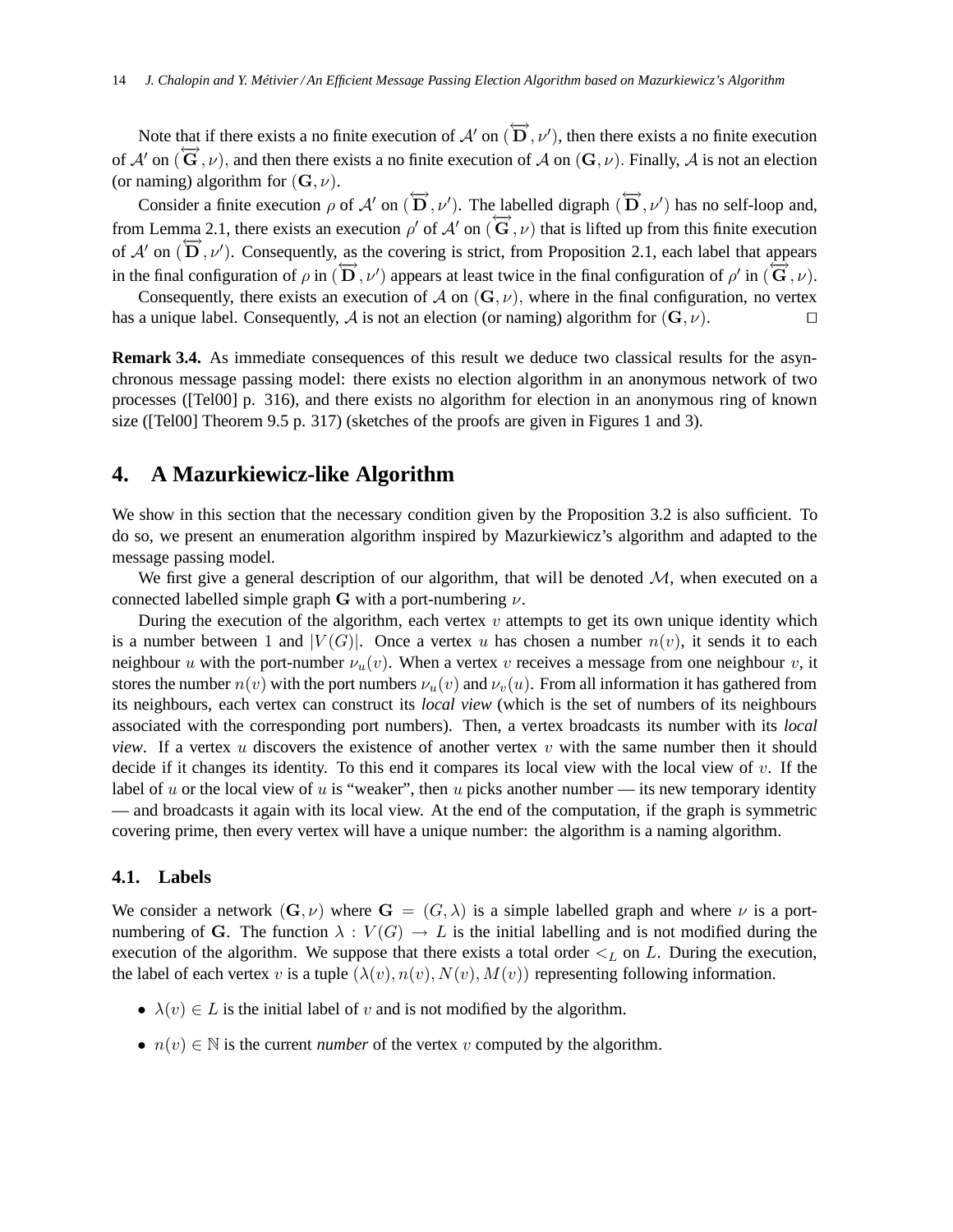Note that if there exists a no finite execution of  $\mathcal{A}'$  on  $(\overleftrightarrow{D}, \nu')$ , then there exists a no finite execution of  $A'$  on  $(\overrightarrow{G}, \nu)$ , and then there exists a no finite execution of  $A$  on  $(G, \nu)$ . Finally,  $A$  is not an election (or naming) algorithm for  $(G, \nu)$ .

Consider a finite execution  $\rho$  of  $\mathcal{A}'$  on  $(\overleftrightarrow{D}, \nu')$ . The labelled digraph  $(\overleftrightarrow{D}, \nu')$  has no self-loop and, from Lemma 2.1, there exists an execution  $\rho'$  of  $A'$  on  $(\overrightarrow{G}, \nu)$  that is lifted up from this finite execution of  $A'$  on  $(\overline{\mathbf{D}}, \nu')$ . Consequently, as the covering is strict, from Proposition 2.1, each label that appears in the final configuration of  $\rho$  in  $(\overleftrightarrow{D}, \nu')$  appears at least twice in the final configuration of  $\rho'$  in  $(\overleftrightarrow{G}, \nu)$ .

Consequently, there exists an execution of A on  $(G, \nu)$ , where in the final configuration, no vertex has a unique label. Consequently, A is not an election (or naming) algorithm for  $(G, \nu)$ .

**Remark 3.4.** As immediate consequences of this result we deduce two classical results for the asynchronous message passing model: there exists no election algorithm in an anonymous network of two processes ([Tel00] p. 316), and there exists no algorithm for election in an anonymous ring of known size ([Tel00] Theorem 9.5 p. 317) (sketches of the proofs are given in Figures 1 and 3).

# **4. A Mazurkiewicz-like Algorithm**

We show in this section that the necessary condition given by the Proposition 3.2 is also sufficient. To do so, we present an enumeration algorithm inspired by Mazurkiewicz's algorithm and adapted to the message passing model.

We first give a general description of our algorithm, that will be denoted  $M$ , when executed on a connected labelled simple graph G with a port-numbering  $\nu$ .

During the execution of the algorithm, each vertex  $v$  attempts to get its own unique identity which is a number between 1 and  $|V(G)|$ . Once a vertex u has chosen a number  $n(v)$ , it sends it to each neighbour u with the port-number  $\nu_u(v)$ . When a vertex v receives a message from one neighbour v, it stores the number  $n(v)$  with the port numbers  $\nu_u(v)$  and  $\nu_v(u)$ . From all information it has gathered from its neighbours, each vertex can construct its *local view* (which is the set of numbers of its neighbours associated with the corresponding port numbers). Then, a vertex broadcasts its number with its *local view*. If a vertex u discovers the existence of another vertex v with the same number then it should decide if it changes its identity. To this end it compares its local view with the local view of  $v$ . If the label of u or the local view of u is "weaker", then u picks another number — its new temporary identity — and broadcasts it again with its local view. At the end of the computation, if the graph is symmetric covering prime, then every vertex will have a unique number: the algorithm is a naming algorithm.

#### **4.1. Labels**

We consider a network  $(G, \nu)$  where  $G = (G, \lambda)$  is a simple labelled graph and where  $\nu$  is a portnumbering of G. The function  $\lambda : V(G) \to L$  is the initial labelling and is not modified during the execution of the algorithm. We suppose that there exists a total order  $\lt_L$  on L. During the execution, the label of each vertex v is a tuple  $(\lambda(v), n(v), N(v), M(v))$  representing following information.

- $\lambda(v) \in L$  is the initial label of v and is not modified by the algorithm.
- $n(v) \in \mathbb{N}$  is the current *number* of the vertex v computed by the algorithm.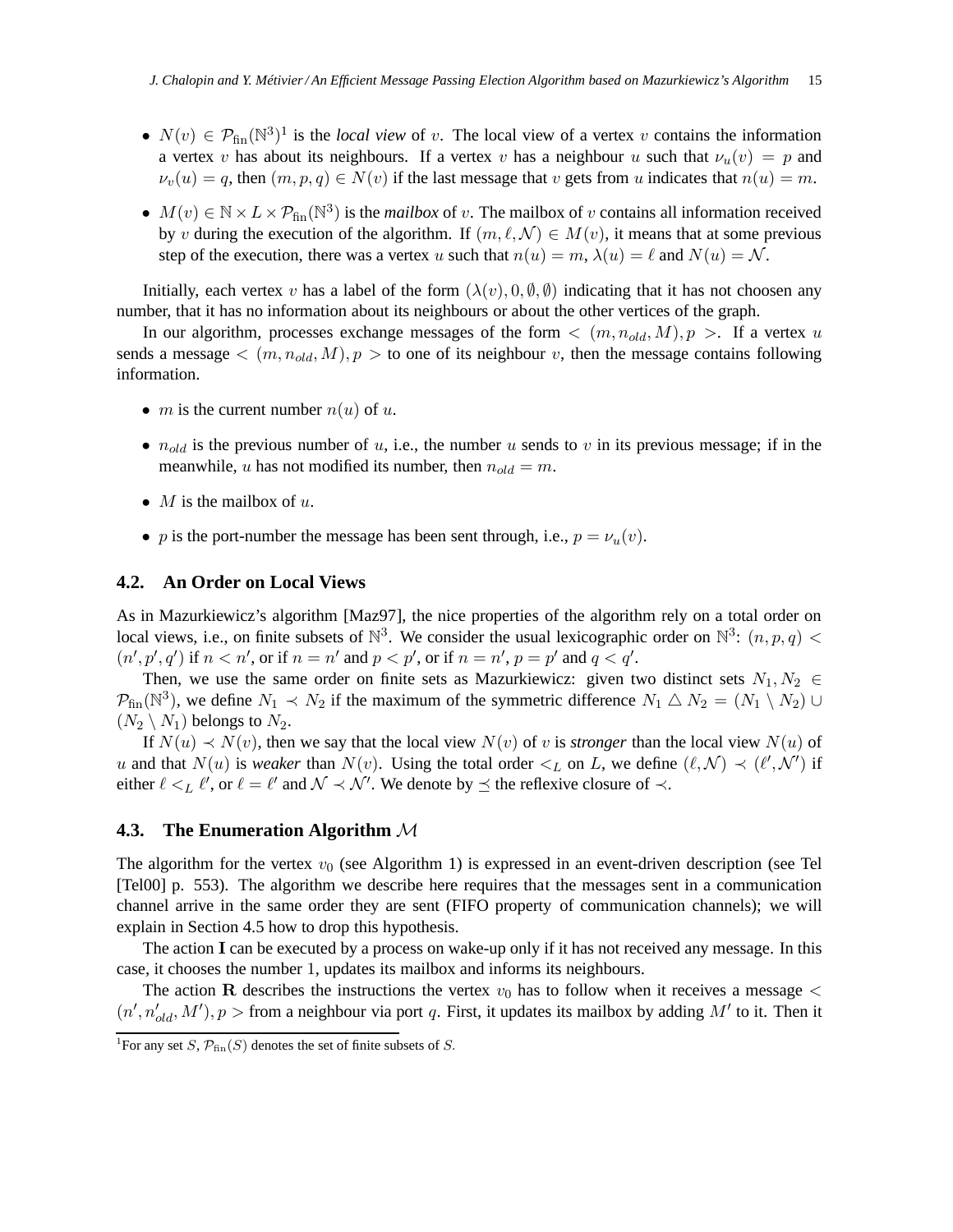- $N(v) \in \mathcal{P}_{fin}(\mathbb{N}^3)^1$  is the *local view* of v. The local view of a vertex v contains the information a vertex v has about its neighbours. If a vertex v has a neighbour u such that  $\nu_u(v) = p$  and  $\nu_v(u) = q$ , then  $(m, p, q) \in N(v)$  if the last message that v gets from u indicates that  $n(u) = m$ .
- $M(v) \in \mathbb{N} \times L \times \mathcal{P}_{fin}(\mathbb{N}^3)$  is the *mailbox* of v. The mailbox of v contains all information received by v during the execution of the algorithm. If  $(m, \ell, \mathcal{N}) \in M(v)$ , it means that at some previous step of the execution, there was a vertex u such that  $n(u) = m$ ,  $\lambda(u) = \ell$  and  $N(u) = \mathcal{N}$ .

Initially, each vertex v has a label of the form  $(\lambda(v), 0, \emptyset, \emptyset)$  indicating that it has not choosen any number, that it has no information about its neighbours or about the other vertices of the graph.

In our algorithm, processes exchange messages of the form  $\langle (m, n_{old}, M), p \rangle$ . If a vertex u sends a message  $\langle (m, n_{old}, M), p \rangle$  to one of its neighbour v, then the message contains following information.

- *m* is the current number  $n(u)$  of u.
- $n_{old}$  is the previous number of u, i.e., the number u sends to v in its previous message; if in the meanwhile, u has not modified its number, then  $n_{old} = m$ .
- M is the mailbox of u.
- p is the port-number the message has been sent through, i.e.,  $p = \nu_u(v)$ .

### **4.2. An Order on Local Views**

As in Mazurkiewicz's algorithm [Maz97], the nice properties of the algorithm rely on a total order on local views, i.e., on finite subsets of  $\mathbb{N}^3$ . We consider the usual lexicographic order on  $\mathbb{N}^3$ :  $(n, p, q)$  <  $(n', p', q')$  if  $n < n'$ , or if  $n = n'$  and  $p < p'$ , or if  $n = n'$ ,  $p = p'$  and  $q < q'$ .

Then, we use the same order on finite sets as Mazurkiewicz: given two distinct sets  $N_1, N_2 \in$  $\mathcal{P}_{fin}(\mathbb{N}^3)$ , we define  $N_1 \prec N_2$  if the maximum of the symmetric difference  $N_1 \triangle N_2 = (N_1 \setminus N_2) \cup$  $(N_2 \setminus N_1)$  belongs to  $N_2$ .

If  $N(u) \prec N(v)$ , then we say that the local view  $N(v)$  of v is *stronger* than the local view  $N(u)$  of u and that  $N(u)$  is *weaker* than  $N(v)$ . Using the total order  $\lt_L$  on L, we define  $(\ell, \mathcal{N}) \lt (\ell', \mathcal{N}')$  if either  $\ell <_L \ell'$ , or  $\ell = \ell'$  and  $\mathcal{N} \prec \mathcal{N}'$ . We denote by  $\preceq$  the reflexive closure of  $\prec$ .

# **4.3. The Enumeration Algorithm** M

The algorithm for the vertex  $v_0$  (see Algorithm 1) is expressed in an event-driven description (see Tel [Tel00] p. 553). The algorithm we describe here requires that the messages sent in a communication channel arrive in the same order they are sent (FIFO property of communication channels); we will explain in Section 4.5 how to drop this hypothesis.

The action I can be executed by a process on wake-up only if it has not received any message. In this case, it chooses the number 1, updates its mailbox and informs its neighbours.

The action R describes the instructions the vertex  $v_0$  has to follow when it receives a message  $\lt$  $(n', n'_{old}, M')$ ,  $p >$  from a neighbour via port q. First, it updates its mailbox by adding  $M'$  to it. Then it

<sup>&</sup>lt;sup>1</sup>For any set S,  $\mathcal{P}_{fin}(S)$  denotes the set of finite subsets of S.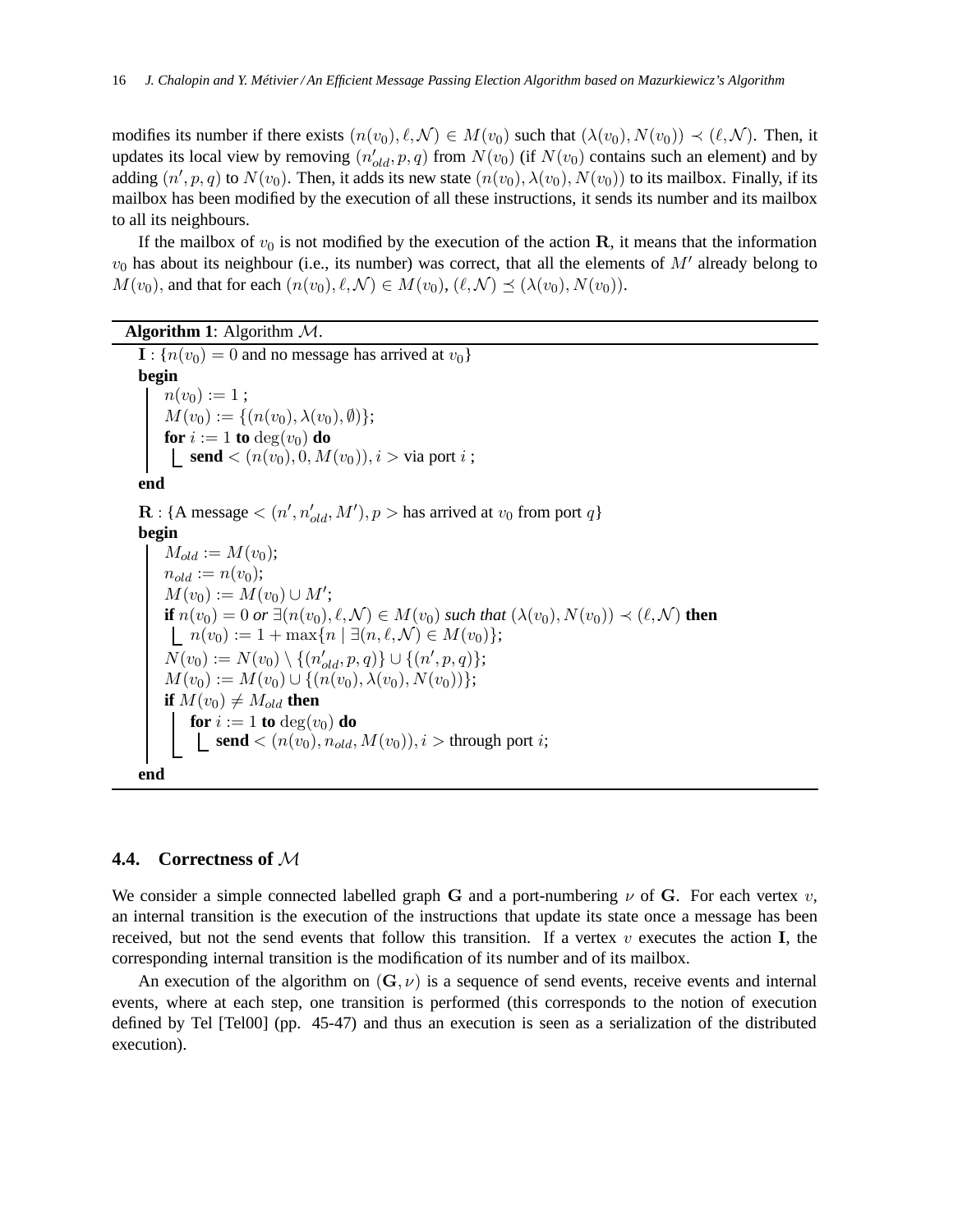modifies its number if there exists  $(n(v_0), \ell, \mathcal{N}) \in M(v_0)$  such that  $(\lambda(v_0), N(v_0)) \prec (\ell, \mathcal{N})$ . Then, it updates its local view by removing  $(n'_{old}, p, q)$  from  $N(v_0)$  (if  $N(v_0)$  contains such an element) and by adding  $(n', p, q)$  to  $N(v_0)$ . Then, it adds its new state  $(n(v_0), \lambda(v_0), N(v_0))$  to its mailbox. Finally, if its mailbox has been modified by the execution of all these instructions, it sends its number and its mailbox to all its neighbours.

If the mailbox of  $v_0$  is not modified by the execution of the action R, it means that the information  $v_0$  has about its neighbour (i.e., its number) was correct, that all the elements of  $M'$  already belong to  $M(v_0)$ , and that for each  $(n(v_0), \ell, \mathcal{N}) \in M(v_0), (\ell, \mathcal{N}) \preceq (\lambda(v_0), N(v_0)).$ 

```
Algorithm 1: Algorithm M.
```

```
I : \{n(v_0) = 0 \text{ and no message has arrived at } v_0\}begin
     n(v_0) := 1;M(v_0) := \{(n(v_0), \lambda(v_0), \emptyset)\};<br>for i := 1 to \deg(v_0) do
     \mathbf{for} \ i := 1 \ \mathbf{to} \ \mathrm{deg}(v_0) \ \mathbf{do}send < (n(v_0), 0, M(v_0)), i > \text{via port } i;
end
\mathbf{R}: {A message < (n', n'_{old}, M'), p > has arrived at v_0 from port q}
begin
     M_{old} := M(v_0);n_{old} := n(v_0);M(v_0) := M(v_0) \cup M';if n(v_0) = 0 or \exists (n(v_0), \ell, \mathcal{N}) \in M(v_0) such that (\lambda(v_0), N(v_0)) \prec (\ell, \mathcal{N}) then
     n(v_0) := 1 + \max\{n \mid \exists (n, \ell, \mathcal{N}) \in M(v_0)\};N(v_0) := N(v_0) \setminus \{(n'_{old}, p, q)\} \cup \{(n', p, q)\};M(v_0) := M(v_0) \cup \{(n(v_0), \lambda(v_0), N(v_0))\};if M(v_0) \neq M_{old} then
         for i := 1 to deg(v_0) do
           \Box send < (n(v_0), n_{old}, M(v_0)), i > through port i;
end
```
## **4.4. Correctness of** M

We consider a simple connected labelled graph G and a port-numbering  $\nu$  of G. For each vertex  $v$ , an internal transition is the execution of the instructions that update its state once a message has been received, but not the send events that follow this transition. If a vertex  $v$  executes the action I, the corresponding internal transition is the modification of its number and of its mailbox.

An execution of the algorithm on  $(G, \nu)$  is a sequence of send events, receive events and internal events, where at each step, one transition is performed (this corresponds to the notion of execution defined by Tel [Tel00] (pp. 45-47) and thus an execution is seen as a serialization of the distributed execution).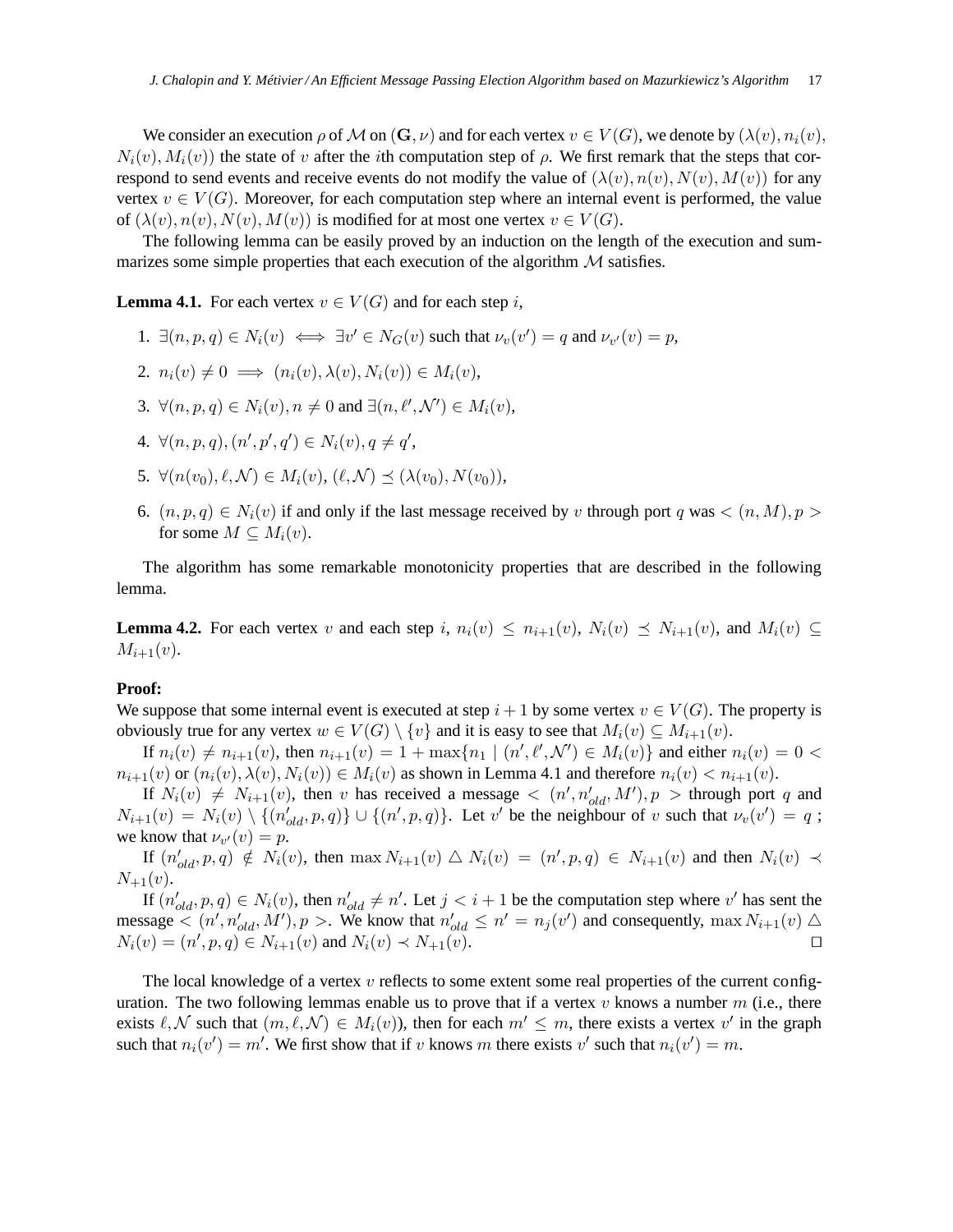We consider an execution  $\rho$  of M on  $(G, \nu)$  and for each vertex  $v \in V(G)$ , we denote by  $(\lambda(v), n_i(v))$ ,  $N_i(v)$ ,  $M_i(v)$ ) the state of v after the *i*th computation step of  $\rho$ . We first remark that the steps that correspond to send events and receive events do not modify the value of  $(\lambda(v), n(v), N(v), M(v))$  for any vertex  $v \in V(G)$ . Moreover, for each computation step where an internal event is performed, the value of  $(\lambda(v), n(v), N(v), M(v))$  is modified for at most one vertex  $v \in V(G)$ .

The following lemma can be easily proved by an induction on the length of the execution and summarizes some simple properties that each execution of the algorithm  $M$  satisfies.

**Lemma 4.1.** For each vertex  $v \in V(G)$  and for each step i,

- 1.  $\exists (n, p, q) \in N_i(v) \iff \exists v' \in N_G(v)$  such that  $\nu_v(v') = q$  and  $\nu_{v'}(v) = p$ ,
- 2.  $n_i(v) \neq 0 \implies (n_i(v), \lambda(v), N_i(v)) \in M_i(v),$
- 3.  $\forall (n, p, q) \in N_i(v), n \neq 0$  and  $\exists (n, \ell', \mathcal{N}') \in M_i(v)$ ,
- 4.  $\forall (n, p, q), (n', p', q') \in N_i(v), q \neq q',$
- 5.  $\forall (n(v_0), \ell, \mathcal{N}) \in M_i(v), (\ell, \mathcal{N}) \prec (\lambda(v_0), N(v_0)),$
- 6.  $(n, p, q) \in N_i(v)$  if and only if the last message received by v through port q was  $\lt (n, M), p > 0$ for some  $M \subset M_i(v)$ .

The algorithm has some remarkable monotonicity properties that are described in the following lemma.

**Lemma 4.2.** For each vertex v and each step i,  $n_i(v) \leq n_{i+1}(v)$ ,  $N_i(v) \leq N_{i+1}(v)$ , and  $M_i(v) \subseteq$  $M_{i+1}(v)$ .

#### **Proof:**

We suppose that some internal event is executed at step  $i + 1$  by some vertex  $v \in V(G)$ . The property is obviously true for any vertex  $w \in V(G) \setminus \{v\}$  and it is easy to see that  $M_i(v) \subseteq M_{i+1}(v)$ .

If  $n_i(v) \neq n_{i+1}(v)$ , then  $n_{i+1}(v) = 1 + \max\{n_1 \mid (n', \ell', \mathcal{N}') \in M_i(v)\}\$  and either  $n_i(v) = 0$  $n_{i+1}(v)$  or  $(n_i(v), \lambda(v), N_i(v)) \in M_i(v)$  as shown in Lemma 4.1 and therefore  $n_i(v) < n_{i+1}(v)$ .

If  $N_i(v) \neq N_{i+1}(v)$ , then v has received a message  $\langle (n', n'_{old}, M'), p \rangle$  through port q and  $N_{i+1}(v) = N_i(v) \setminus \{(n'_{old}, p, q)\} \cup \{(n', p, q)\}\$ . Let v' be the neighbour of v such that  $\nu_v(v') = q$ ; we know that  $\nu_{v'}(v) = p$ .

If  $(n'_{old}, p, q) \notin N_i(v)$ , then  $\max N_{i+1}(v) \bigtriangleup N_i(v) = (n', p, q) \in N_{i+1}(v)$  and then  $N_i(v) \prec$  $N_{+1}(v)$ .

If  $(n'_{old}, p, q) \in N_i(v)$ , then  $n'_{old} \neq n'$ . Let  $j < i + 1$  be the computation step where v' has sent the message  $\lt (n', n'_{old}, M'), p >$ . We know that  $n'_{old} \le n' = n_j(v')$  and consequently,  $\max N_{i+1}(v) \triangle$  $N_i(v) = (n', p, q) \in N_{i+1}(v)$  and  $N_i(v) \prec N_{+1}(v)$ . □

The local knowledge of a vertex  $v$  reflects to some extent some real properties of the current configuration. The two following lemmas enable us to prove that if a vertex v knows a number  $m$  (i.e., there exists  $\ell, \mathcal{N}$  such that  $(m, \ell, \mathcal{N}) \in M_i(v)$ , then for each  $m' \leq m$ , there exists a vertex  $v'$  in the graph such that  $n_i(v') = m'$ . We first show that if v knows m there exists v' such that  $n_i(v') = m$ .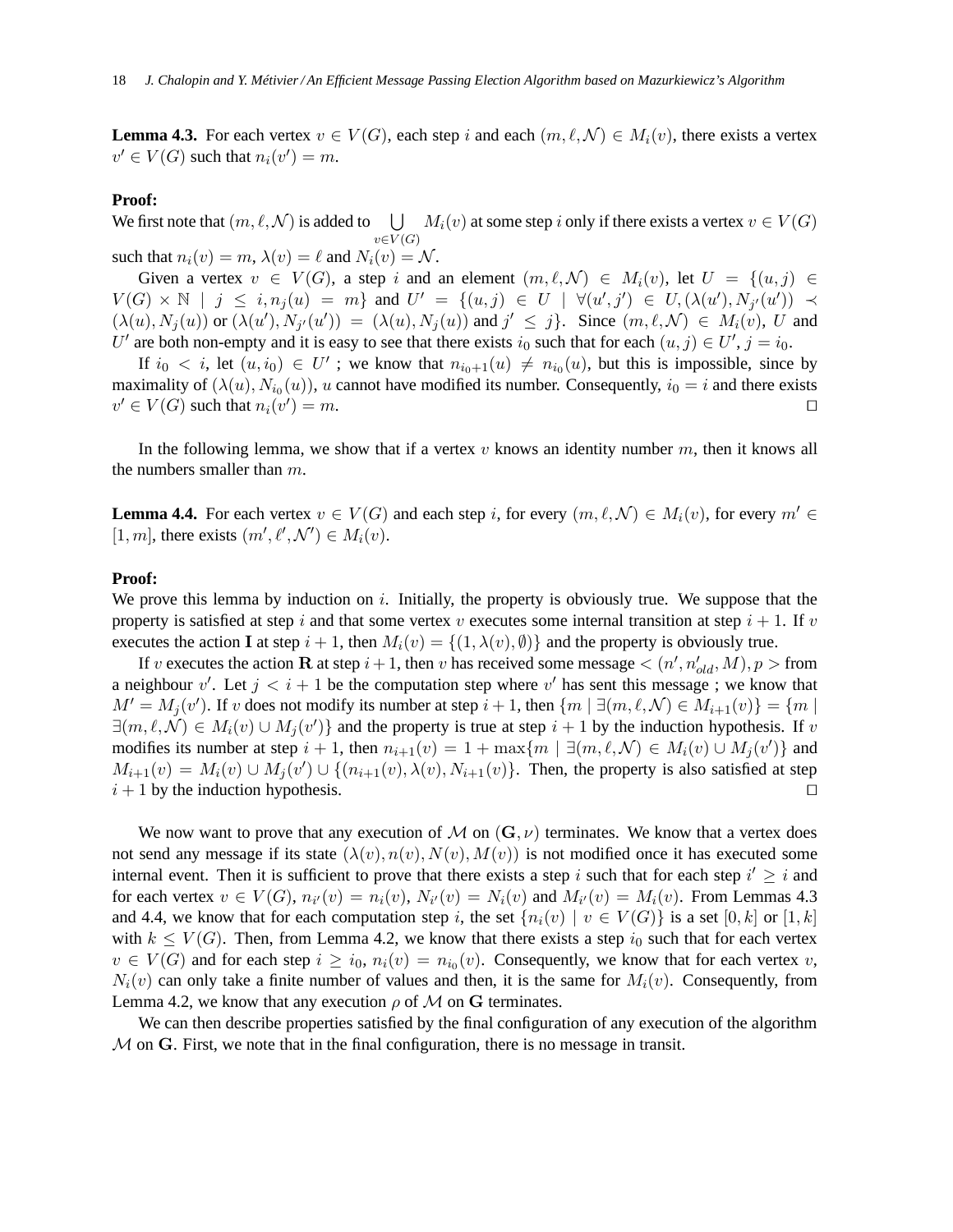**Lemma 4.3.** For each vertex  $v \in V(G)$ , each step i and each  $(m, \ell, \mathcal{N}) \in M_i(v)$ , there exists a vertex  $v' \in V(G)$  such that  $n_i(v') = m$ .

#### **Proof:**

We first note that  $(m, \ell, \mathcal{N})$  is added to  $\bigcup M_i(v)$  at some step i only if there exists a vertex  $v \in V(G)$  $v\in V(G)$ such that  $n_i(v) = m$ ,  $\lambda(v) = \ell$  and  $N_i(v) = \mathcal{N}$ .

Given a vertex  $v \in V(G)$ , a step i and an element  $(m, \ell, \mathcal{N}) \in M_i(v)$ , let  $U = \{(u, j) \in$  $V(G) \times \mathbb{N}$  |  $j \leq i, n_j(u) = m$ } and  $U' = \{(u, j) \in U \mid \forall (u', j') \in U, (\lambda(u'), N_{j'}(u')) \prec$  $(\lambda(u), N_j(u))$  or  $(\lambda(u'), N_{j'}(u')) = (\lambda(u), N_j(u))$  and  $j' \leq j$ . Since  $(m, \ell, \mathcal{N}) \in M_i(v)$ , U and U' are both non-empty and it is easy to see that there exists  $i_0$  such that for each  $(u, j) \in U', j = i_0$ .

If  $i_0 < i$ , let  $(u, i_0) \in U'$ ; we know that  $n_{i_0+1}(u) \neq n_{i_0}(u)$ , but this is impossible, since by maximality of  $(\lambda(u), N_{i_0}(u))$ , u cannot have modified its number. Consequently,  $i_0 = i$  and there exists  $v' \in V(G)$  such that  $n_i(v')$  $)=m.$ 

In the following lemma, we show that if a vertex v knows an identity number  $m$ , then it knows all the numbers smaller than m.

**Lemma 4.4.** For each vertex  $v \in V(G)$  and each step i, for every  $(m, \ell, \mathcal{N}) \in M_i(v)$ , for every  $m' \in$ [1, m], there exists  $(m', \ell', \mathcal{N}') \in M_i(v)$ .

#### **Proof:**

We prove this lemma by induction on  $i$ . Initially, the property is obviously true. We suppose that the property is satisfied at step i and that some vertex v executes some internal transition at step  $i + 1$ . If v executes the action I at step  $i + 1$ , then  $M_i(v) = \{(1, \lambda(v), \emptyset)\}\$ and the property is obviously true.

If v executes the action **R** at step  $i + 1$ , then v has received some message  $\lt (n', n'_{old}, M)$ ,  $p >$  from a neighbour v'. Let  $j < i + 1$  be the computation step where v' has sent this message; we know that  $M' = M_j(v')$ . If v does not modify its number at step  $i + 1$ , then  $\{m \mid \exists (m, \ell, \mathcal{N}) \in M_{i+1}(v)\} = \{m \mid \ell \in \mathcal{N} \}$  $\exists (m,\ell,\mathcal{N}) \in M_i(v) \cup M_j(v')\}$  and the property is true at step  $i+1$  by the induction hypothesis. If v modifies its number at step  $i + 1$ , then  $n_{i+1}(v) = 1 + \max\{m \mid \exists (m, \ell, \mathcal{N}) \in M_i(v) \cup M_j(v')\}$  and  $M_{i+1}(v) = M_i(v) \cup M_j(v') \cup \{(n_{i+1}(v), \lambda(v), N_{i+1}(v)\})$ . Then, the property is also satisfied at step  $i + 1$  by the induction hypothesis. □

We now want to prove that any execution of M on  $(G, \nu)$  terminates. We know that a vertex does not send any message if its state  $(\lambda(v), n(v), N(v), M(v))$  is not modified once it has executed some internal event. Then it is sufficient to prove that there exists a step i such that for each step  $i' \geq i$  and for each vertex  $v \in V(G)$ ,  $n_{i'}(v) = n_i(v)$ ,  $N_{i'}(v) = N_i(v)$  and  $M_{i'}(v) = M_i(v)$ . From Lemmas 4.3 and 4.4, we know that for each computation step i, the set  $\{n_i(v) \mid v \in V(G)\}$  is a set  $[0, k]$  or  $[1, k]$ with  $k \leq V(G)$ . Then, from Lemma 4.2, we know that there exists a step  $i_0$  such that for each vertex  $v \in V(G)$  and for each step  $i \ge i_0$ ,  $n_i(v) = n_{i_0}(v)$ . Consequently, we know that for each vertex v,  $N_i(v)$  can only take a finite number of values and then, it is the same for  $M_i(v)$ . Consequently, from Lemma 4.2, we know that any execution  $\rho$  of M on G terminates.

We can then describe properties satisfied by the final configuration of any execution of the algorithm  $M$  on  $G$ . First, we note that in the final configuration, there is no message in transit.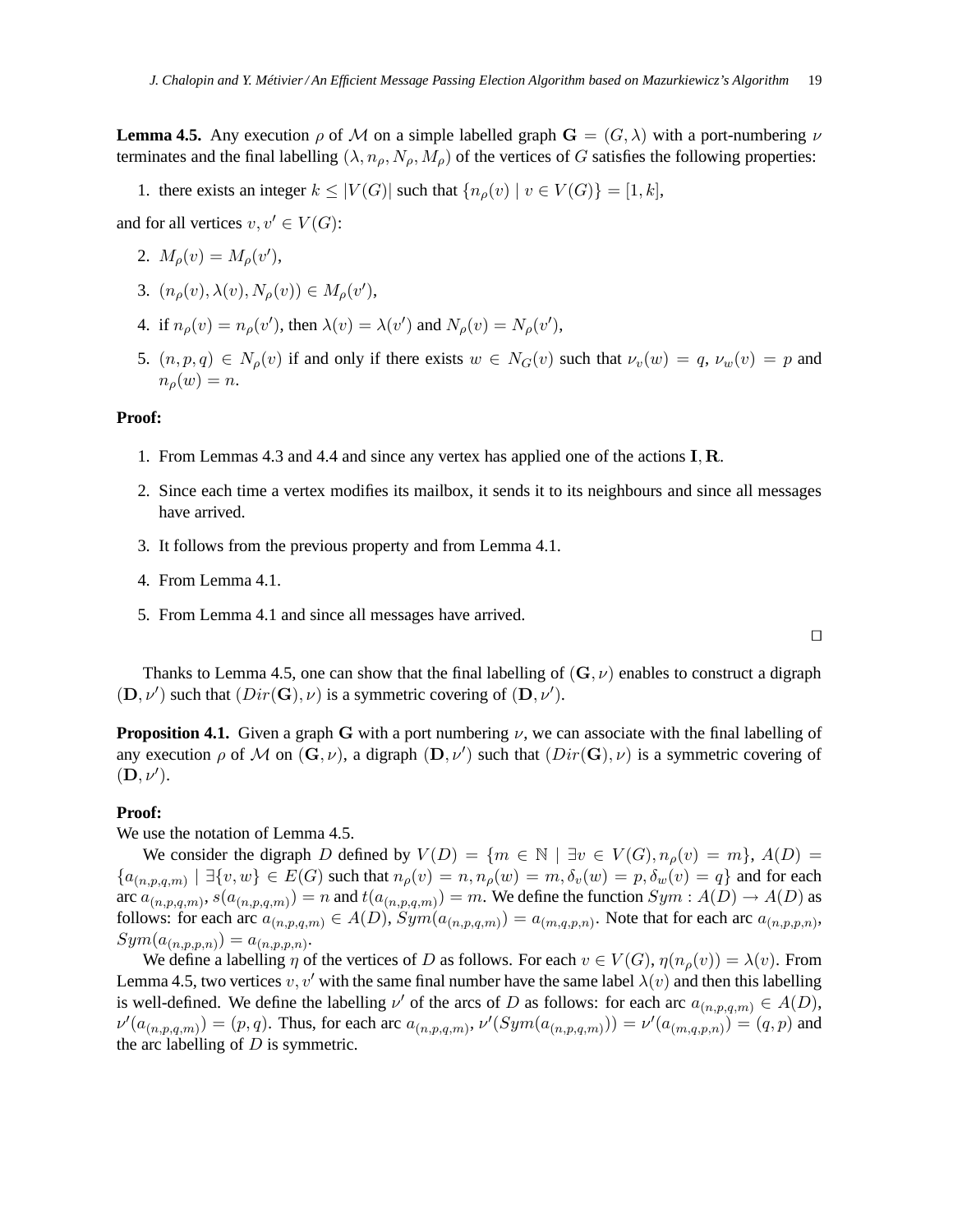**Lemma 4.5.** Any execution  $\rho$  of M on a simple labelled graph  $\mathbf{G} = (G, \lambda)$  with a port-numbering  $\nu$ terminates and the final labelling  $(\lambda, n_{\rho}, N_{\rho}, M_{\rho})$  of the vertices of G satisfies the following properties:

1. there exists an integer  $k \leq |V(G)|$  such that  $\{n_{\rho}(v) \mid v \in V(G)\} = [1, k],$ 

and for all vertices  $v, v' \in V(G)$ :

- 2.  $M_{\rho}(v) = M_{\rho}(v'),$
- 3.  $(n_{\rho}(v), \lambda(v), N_{\rho}(v)) \in M_{\rho}(v'),$
- 4. if  $n_{\rho}(v) = n_{\rho}(v')$ , then  $\lambda(v) = \lambda(v')$  and  $N_{\rho}(v) = N_{\rho}(v')$ ,
- 5.  $(n, p, q) \in N_o(v)$  if and only if there exists  $w \in N_G(v)$  such that  $\nu_v(w) = q$ ,  $\nu_w(v) = p$  and  $n_o(w) = n$ .

### **Proof:**

- 1. From Lemmas 4.3 and 4.4 and since any vertex has applied one of the actions I, R.
- 2. Since each time a vertex modifies its mailbox, it sends it to its neighbours and since all messages have arrived.
- 3. It follows from the previous property and from Lemma 4.1.
- 4. From Lemma 4.1.
- 5. From Lemma 4.1 and since all messages have arrived.

Thanks to Lemma 4.5, one can show that the final labelling of  $(G, \nu)$  enables to construct a digraph  $(D, \nu')$  such that  $(Dir(G), \nu)$  is a symmetric covering of  $(D, \nu')$ .

**Proposition 4.1.** Given a graph G with a port numbering  $\nu$ , we can associate with the final labelling of any execution  $\rho$  of M on  $(G, \nu)$ , a digraph  $(D, \nu')$  such that  $(Dir(G), \nu)$  is a symmetric covering of  $(D, \nu').$ 

#### **Proof:**

We use the notation of Lemma 4.5.

We consider the digraph D defined by  $V(D) = \{m \in \mathbb{N} \mid \exists v \in V(G), n_{\rho}(v) = m\}, A(D) =$  ${a_{(n,p,q,m)} \mid \exists \{v,w\} \in E(G) \text{ such that } n_\rho(v) = n, n_\rho(w) = m, \delta_v(w) = p, \delta_w(v) = q\}$  and for each arc  $a_{(n,p,q,m)}, s(a_{(n,p,q,m)}) = n$  and  $t(a_{(n,p,q,m)}) = m$ . We define the function  $Sym : A(D) \to A(D)$  as follows: for each arc  $a_{(n,p,q,m)} \in A(D)$ ,  $Sym(a_{(n,p,q,m)}) = a_{(m,q,p,n)}$ . Note that for each arc  $a_{(n,p,p,n)}$ ,  $Sym(a_{(n,p,p,n)}) = a_{(n,p,p,n)}.$ 

We define a labelling  $\eta$  of the vertices of D as follows. For each  $v \in V(G)$ ,  $\eta(n_o(v)) = \lambda(v)$ . From Lemma 4.5, two vertices v, v' with the same final number have the same label  $\lambda(v)$  and then this labelling is well-defined. We define the labelling  $\nu'$  of the arcs of D as follows: for each arc  $a_{(n,p,q,m)} \in A(D)$ ,  $\nu'(a_{(n,p,q,m)}) = (p,q)$ . Thus, for each arc  $a_{(n,p,q,m)}, \nu'(Sym(a_{(n,p,q,m)})) = \nu'(a_{(m,q,p,n)}) = (q,p)$  and the arc labelling of  $D$  is symmetric.

⊓⊔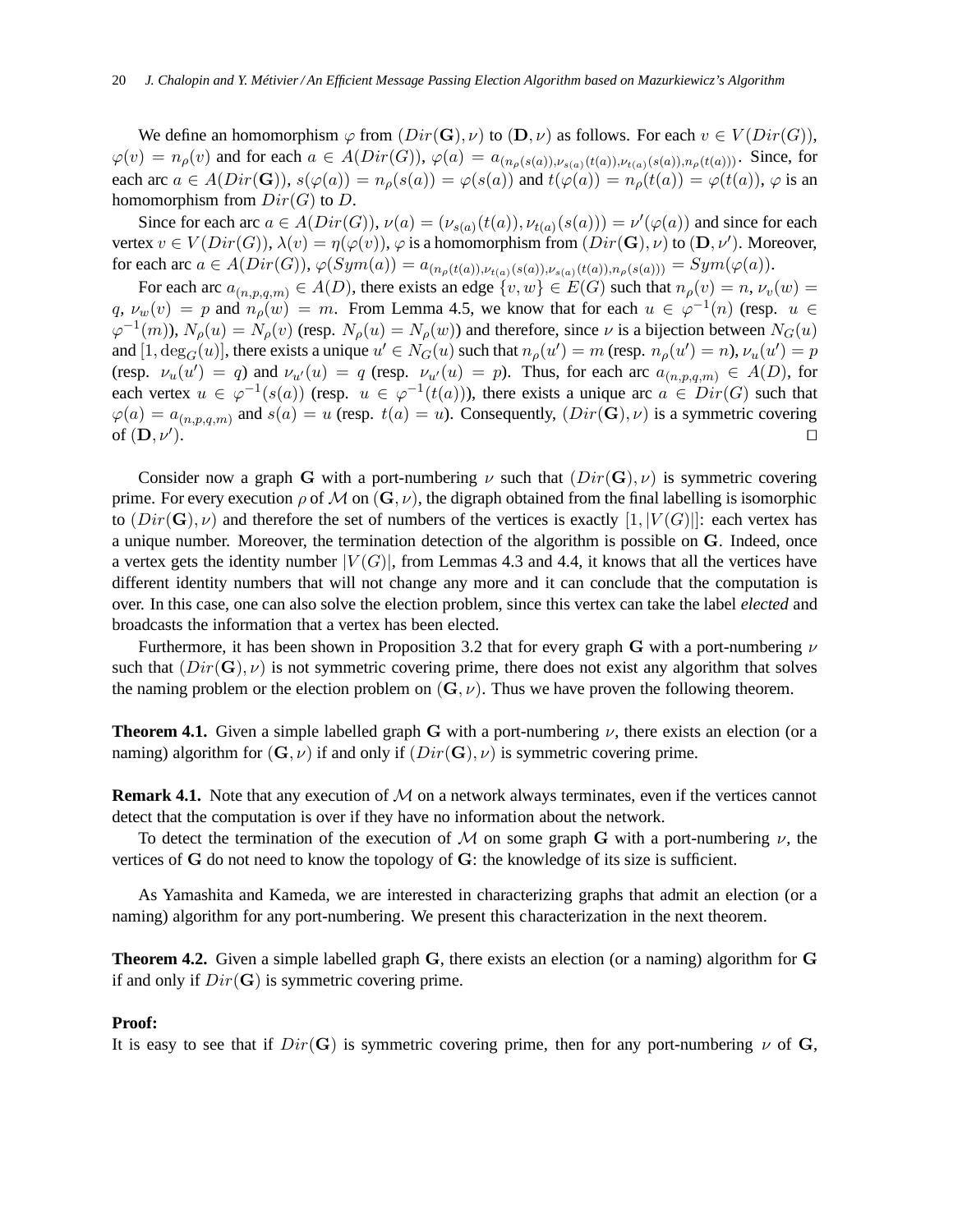We define an homomorphism  $\varphi$  from  $(Dir(G), \nu)$  to  $(D, \nu)$  as follows. For each  $v \in V(Dir(G)),$  $\varphi(v) = n_{\rho}(v)$  and for each  $a \in A(Dir(G)), \varphi(a) = a_{(n_{\rho}(s(a)), \nu_{s(a)}(t(a)), \nu_{t(a)}(s(a)), n_{\rho}(t(a)))}$ . Since, for each arc  $a \in A(Dir(G))$ ,  $s(\varphi(a)) = n_o(s(a)) = \varphi(s(a))$  and  $t(\varphi(a)) = n_o(t(a)) = \varphi(t(a))$ ,  $\varphi$  is an homomorphism from  $Dir(G)$  to D.

Since for each arc  $a \in A(Dir(G)), \nu(a) = (\nu_{s(a)}(t(a)), \nu_{t(a)}(s(a))) = \nu'(\varphi(a))$  and since for each vertex  $v \in V(Dir(G)), \lambda(v) = \eta(\varphi(v)), \varphi$  is a homomorphism from  $(Dir(\mathbf{G}), \nu)$  to  $(\mathbf{D}, \nu')$ . Moreover, for each arc  $a \in A(Dir(G)), \varphi(Sym(a)) = a_{(n_{\rho}(t(a)), \nu_{t(a)}(s(a)), \nu_{s(a)}(t(a)), n_{\rho}(s(a)))} = Sym(\varphi(a)).$ 

For each arc  $a_{(n,p,q,m)} \in A(D)$ , there exists an edge  $\{v,w\} \in E(G)$  such that  $n_\rho(v) = n$ ,  $\nu_v(w) =$  $q, \nu_w(v) = p$  and  $n_p(w) = m$ . From Lemma 4.5, we know that for each  $u \in \varphi^{-1}(n)$  (resp.  $u \in \varphi^{-1}(n)$  $\varphi^{-1}(m)$ ),  $N_{\rho}(u) = N_{\rho}(v)$  (resp.  $N_{\rho}(u) = N_{\rho}(w)$ ) and therefore, since  $\nu$  is a bijection between  $N_G(u)$ and  $[1, \deg_G(u)]$ , there exists a unique  $u' \in N_G(u)$  such that  $n_\rho(u') = m$  (resp.  $n_\rho(u') = n$ ),  $\nu_u(u') = p$ (resp.  $\nu_u(u') = q$ ) and  $\nu_{u'}(u) = q$  (resp.  $\nu_{u'}(u) = p$ ). Thus, for each arc  $a_{(n,p,q,m)} \in A(D)$ , for each vertex  $u \in \varphi^{-1}(s(a))$  (resp.  $u \in \varphi^{-1}(t(a))$ ), there exists a unique arc  $a \in Dir(G)$  such that  $\varphi(a) = a_{(n,p,q,m)}$  and  $s(a) = u$  (resp.  $t(a) = u$ ). Consequently,  $(Dir(\mathbf{G}), \nu)$  is a symmetric covering of  $(D, \nu')$ . ). ⊓⊔

Consider now a graph G with a port-numbering  $\nu$  such that  $(Dir(G), \nu)$  is symmetric covering prime. For every execution  $\rho$  of M on  $(G, \nu)$ , the digraph obtained from the final labelling is isomorphic to  $(Dir(\mathbf{G}), \nu)$  and therefore the set of numbers of the vertices is exactly  $[1, |V(G)|]$ : each vertex has a unique number. Moreover, the termination detection of the algorithm is possible on G. Indeed, once a vertex gets the identity number  $|V(G)|$ , from Lemmas 4.3 and 4.4, it knows that all the vertices have different identity numbers that will not change any more and it can conclude that the computation is over. In this case, one can also solve the election problem, since this vertex can take the label *elected* and broadcasts the information that a vertex has been elected.

Furthermore, it has been shown in Proposition 3.2 that for every graph G with a port-numbering  $\nu$ such that  $(Dir(\mathbf{G}), \nu)$  is not symmetric covering prime, there does not exist any algorithm that solves the naming problem or the election problem on  $(G, \nu)$ . Thus we have proven the following theorem.

**Theorem 4.1.** Given a simple labelled graph G with a port-numbering  $\nu$ , there exists an election (or a naming) algorithm for  $(G, \nu)$  if and only if  $(Dir(G), \nu)$  is symmetric covering prime.

**Remark 4.1.** Note that any execution of M on a network always terminates, even if the vertices cannot detect that the computation is over if they have no information about the network.

To detect the termination of the execution of M on some graph G with a port-numbering  $\nu$ , the vertices of G do not need to know the topology of G: the knowledge of its size is sufficient.

As Yamashita and Kameda, we are interested in characterizing graphs that admit an election (or a naming) algorithm for any port-numbering. We present this characterization in the next theorem.

**Theorem 4.2.** Given a simple labelled graph G, there exists an election (or a naming) algorithm for G if and only if  $Dir(G)$  is symmetric covering prime.

#### **Proof:**

It is easy to see that if  $Dir(G)$  is symmetric covering prime, then for any port-numbering  $\nu$  of G,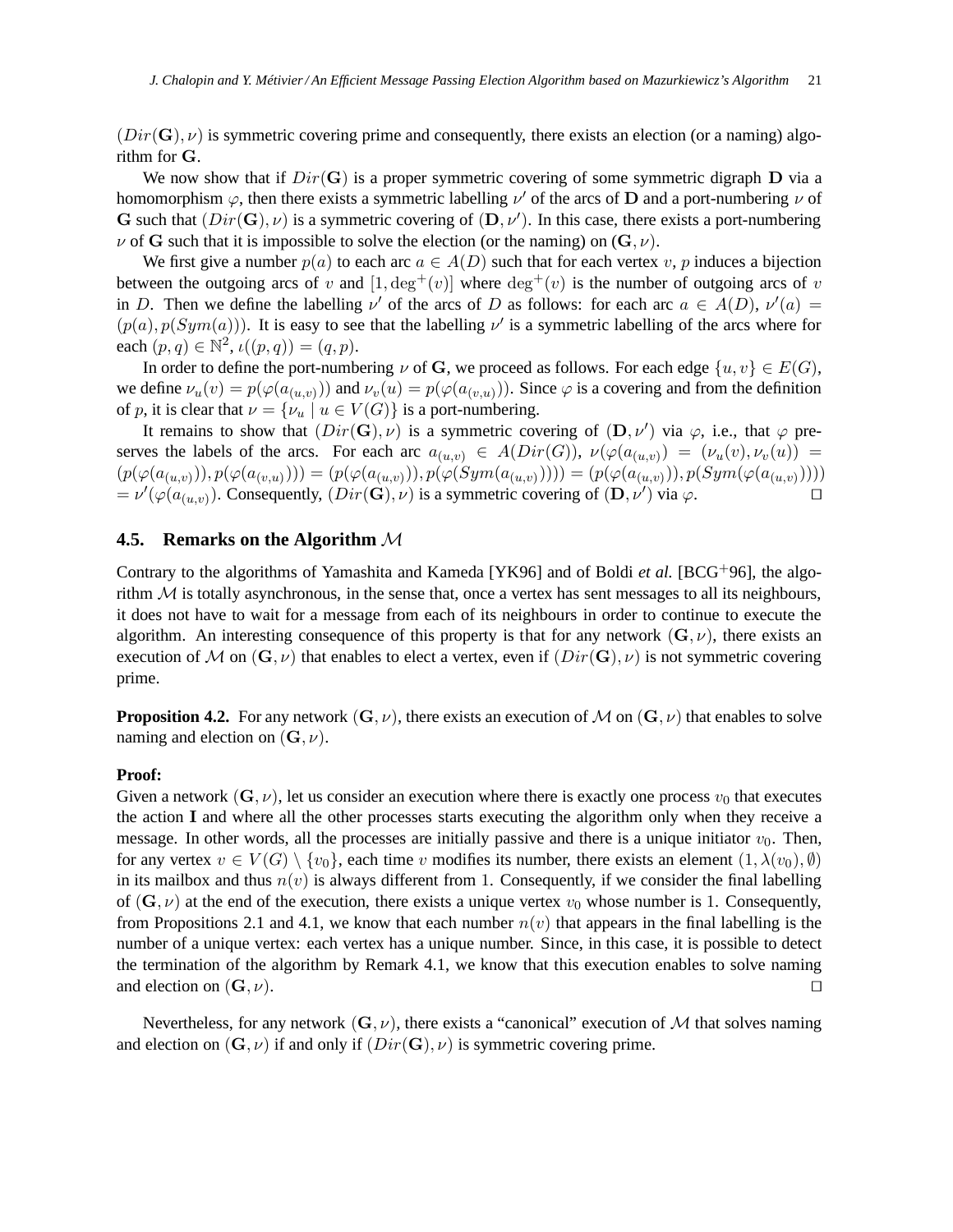$(Dir(\mathbf{G}), \nu)$  is symmetric covering prime and consequently, there exists an election (or a naming) algorithm for G.

We now show that if  $Dir(G)$  is a proper symmetric covering of some symmetric digraph D via a homomorphism  $\varphi$ , then there exists a symmetric labelling  $\nu'$  of the arcs of **D** and a port-numbering  $\nu$  of G such that  $(Dir(G), \nu)$  is a symmetric covering of  $(D, \nu')$ . In this case, there exists a port-numbering  $\nu$  of G such that it is impossible to solve the election (or the naming) on  $(G, \nu)$ .

We first give a number  $p(a)$  to each arc  $a \in A(D)$  such that for each vertex v, p induces a bijection between the outgoing arcs of v and  $[1, \deg^+(v)]$  where  $\deg^+(v)$  is the number of outgoing arcs of v in D. Then we define the labelling  $\nu'$  of the arcs of D as follows: for each arc  $a \in A(D)$ ,  $\nu'(a) =$  $(p(a), p(Sym(a)))$ . It is easy to see that the labelling  $\nu'$  is a symmetric labelling of the arcs where for each  $(p, q) \in \mathbb{N}^2$ ,  $\iota((p, q)) = (q, p)$ .

In order to define the port-numbering  $\nu$  of G, we proceed as follows. For each edge  $\{u, v\} \in E(G)$ , we define  $\nu_u(v) = p(\varphi(a_{(u,v)}))$  and  $\nu_v(u) = p(\varphi(a_{(v,u)}))$ . Since  $\varphi$  is a covering and from the definition of p, it is clear that  $\nu = {\nu_u \mid u \in V(G)}$  is a port-numbering.

It remains to show that  $(Dir(G), \nu)$  is a symmetric covering of  $(D, \nu')$  via  $\varphi$ , i.e., that  $\varphi$  preserves the labels of the arcs. For each arc  $a_{(u,v)} \in A(Dir(G)), \nu(\varphi(a_{(u,v)}) = (\nu_u(v), \nu_v(u)) =$  $(p(\varphi(a_{(u,v)})), p(\varphi(a_{(v,u)}))) = (p(\varphi(a_{(u,v)})), p(\varphi(Sym(a_{(u,v)})))) = (p(\varphi(a_{(u,v)})), p(Sym(\varphi(a_{(u,v)}))))$  $= \nu'(\varphi(a_{(u,v)})$ . Consequently,  $(Dir(\mathbf{G}), \nu)$  is a symmetric covering of  $(\mathbf{D}, \nu')$  via  $\varphi$ .

## **4.5. Remarks on the Algorithm** M

Contrary to the algorithms of Yamashita and Kameda [YK96] and of Boldi *et al.* [BCG+96], the algorithm  $M$  is totally asynchronous, in the sense that, once a vertex has sent messages to all its neighbours, it does not have to wait for a message from each of its neighbours in order to continue to execute the algorithm. An interesting consequence of this property is that for any network  $(G, \nu)$ , there exists an execution of M on  $(G, \nu)$  that enables to elect a vertex, even if  $(Dir(G), \nu)$  is not symmetric covering prime.

**Proposition 4.2.** For any network  $(G, \nu)$ , there exists an execution of M on  $(G, \nu)$  that enables to solve naming and election on  $(G, \nu)$ .

#### **Proof:**

Given a network  $(G, \nu)$ , let us consider an execution where there is exactly one process  $v_0$  that executes the action I and where all the other processes starts executing the algorithm only when they receive a message. In other words, all the processes are initially passive and there is a unique initiator  $v_0$ . Then, for any vertex  $v \in V(G) \setminus \{v_0\}$ , each time v modifies its number, there exists an element  $(1, \lambda(v_0), \emptyset)$ in its mailbox and thus  $n(v)$  is always different from 1. Consequently, if we consider the final labelling of  $(G, \nu)$  at the end of the execution, there exists a unique vertex  $v_0$  whose number is 1. Consequently, from Propositions 2.1 and 4.1, we know that each number  $n(v)$  that appears in the final labelling is the number of a unique vertex: each vertex has a unique number. Since, in this case, it is possible to detect the termination of the algorithm by Remark 4.1, we know that this execution enables to solve naming and election on  $(G, \nu)$ . □

Nevertheless, for any network  $(G, \nu)$ , there exists a "canonical" execution of M that solves naming and election on  $(G, \nu)$  if and only if  $(Dir(G), \nu)$  is symmetric covering prime.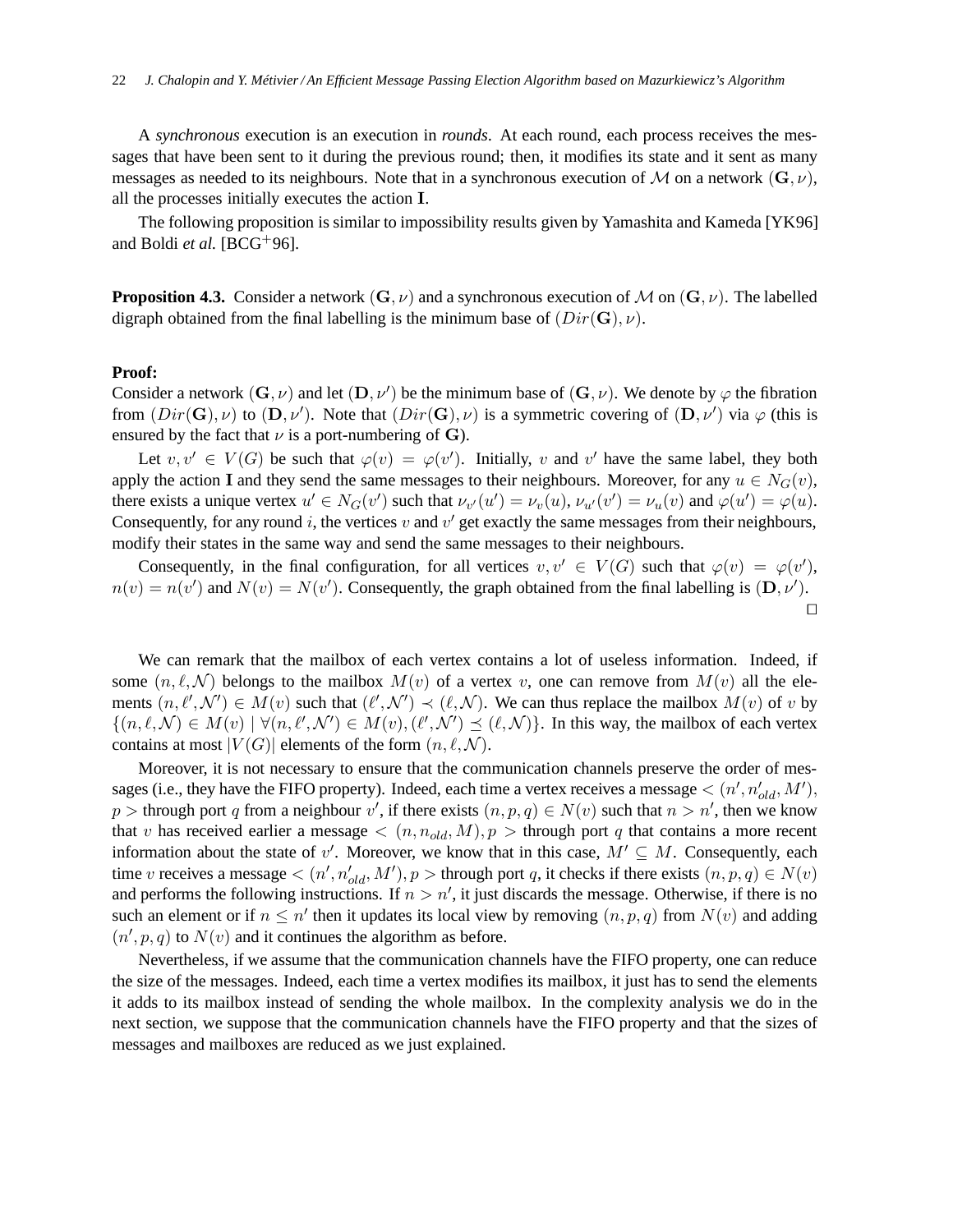A *synchronous* execution is an execution in *rounds*. At each round, each process receives the messages that have been sent to it during the previous round; then, it modifies its state and it sent as many messages as needed to its neighbours. Note that in a synchronous execution of M on a network  $(G, \nu)$ , all the processes initially executes the action I.

The following proposition is similar to impossibility results given by Yamashita and Kameda [YK96] and Boldi *et al.* [BCG+96].

**Proposition 4.3.** Consider a network  $(G, \nu)$  and a synchronous execution of M on  $(G, \nu)$ . The labelled digraph obtained from the final labelling is the minimum base of  $(Dir(G), \nu)$ .

#### **Proof:**

Consider a network  $(G, \nu)$  and let  $(D, \nu')$  be the minimum base of  $(G, \nu)$ . We denote by  $\varphi$  the fibration from  $(Dir(G), \nu)$  to  $(D, \nu')$ . Note that  $(Dir(G), \nu)$  is a symmetric covering of  $(D, \nu')$  via  $\varphi$  (this is ensured by the fact that  $\nu$  is a port-numbering of G).

Let  $v, v' \in V(G)$  be such that  $\varphi(v) = \varphi(v')$ . Initially, v and v' have the same label, they both apply the action I and they send the same messages to their neighbours. Moreover, for any  $u \in N_G(v)$ , there exists a unique vertex  $u' \in N_G(v')$  such that  $\nu_{v'}(u') = \nu_v(u)$ ,  $\nu_{u'}(v') = \nu_u(v)$  and  $\varphi(u') = \varphi(u)$ . Consequently, for any round i, the vertices  $v$  and  $v'$  get exactly the same messages from their neighbours, modify their states in the same way and send the same messages to their neighbours.

Consequently, in the final configuration, for all vertices  $v, v' \in V(G)$  such that  $\varphi(v) = \varphi(v')$ ,  $n(v) = n(v')$  and  $N(v) = N(v')$ . Consequently, the graph obtained from the final labelling is  $(D, \nu')$ . ⊓⊔

We can remark that the mailbox of each vertex contains a lot of useless information. Indeed, if some  $(n, \ell, \mathcal{N})$  belongs to the mailbox  $M(v)$  of a vertex v, one can remove from  $M(v)$  all the elements  $(n, \ell', \mathcal{N}') \in M(v)$  such that  $(\ell', \mathcal{N}') \prec (\ell, \mathcal{N})$ . We can thus replace the mailbox  $M(v)$  of v by  $\{(n,\ell,\mathcal{N})\in M(v) \mid \forall (n,\ell',\mathcal{N}')\in M(v),(\ell',\mathcal{N}')\preceq (\ell,\mathcal{N})\}.$  In this way, the mailbox of each vertex contains at most  $|V(G)|$  elements of the form  $(n, \ell, \mathcal{N})$ .

Moreover, it is not necessary to ensure that the communication channels preserve the order of messages (i.e., they have the FIFO property). Indeed, each time a vertex receives a message  $\lt (n', n'_{old}, M'),$ p > through port q from a neighbour v', if there exists  $(n, p, q) \in N(v)$  such that  $n > n'$ , then we know that v has received earlier a message  $\langle (n, n_{old}, M), p \rangle$  through port q that contains a more recent information about the state of v'. Moreover, we know that in this case,  $M' \subseteq M$ . Consequently, each time v receives a message  $\lt (n', n'_{old}, M'), p$  > through port q, it checks if there exists  $(n, p, q) \in N(v)$ and performs the following instructions. If  $n > n'$ , it just discards the message. Otherwise, if there is no such an element or if  $n \leq n'$  then it updates its local view by removing  $(n, p, q)$  from  $N(v)$  and adding  $(n', p, q)$  to  $N(v)$  and it continues the algorithm as before.

Nevertheless, if we assume that the communication channels have the FIFO property, one can reduce the size of the messages. Indeed, each time a vertex modifies its mailbox, it just has to send the elements it adds to its mailbox instead of sending the whole mailbox. In the complexity analysis we do in the next section, we suppose that the communication channels have the FIFO property and that the sizes of messages and mailboxes are reduced as we just explained.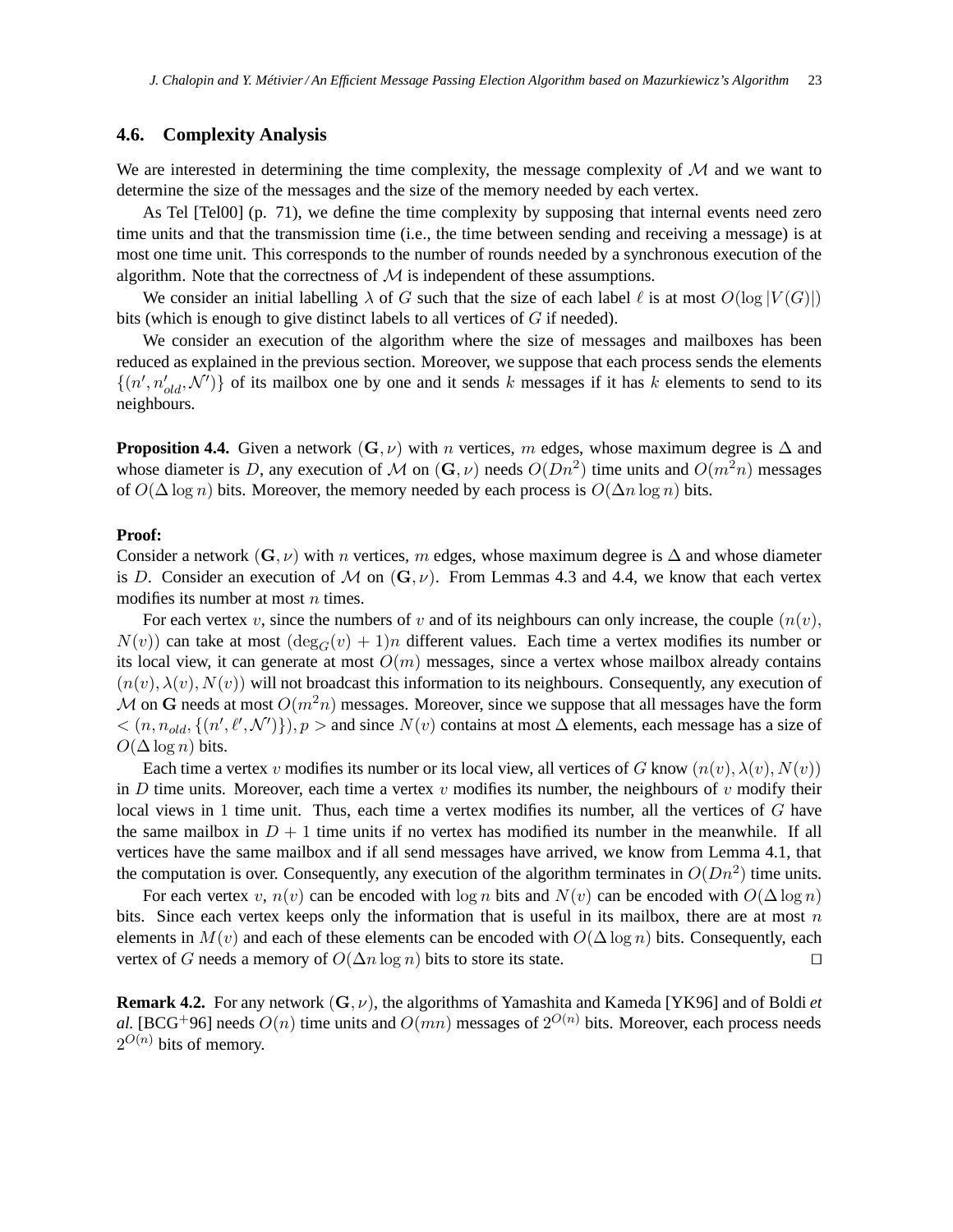### **4.6. Complexity Analysis**

We are interested in determining the time complexity, the message complexity of  $\mathcal M$  and we want to determine the size of the messages and the size of the memory needed by each vertex.

As Tel [Tel00] (p. 71), we define the time complexity by supposing that internal events need zero time units and that the transmission time (i.e., the time between sending and receiving a message) is at most one time unit. This corresponds to the number of rounds needed by a synchronous execution of the algorithm. Note that the correctness of  $M$  is independent of these assumptions.

We consider an initial labelling  $\lambda$  of G such that the size of each label  $\ell$  is at most  $O(\log |V(G)|)$ bits (which is enough to give distinct labels to all vertices of G if needed).

We consider an execution of the algorithm where the size of messages and mailboxes has been reduced as explained in the previous section. Moreover, we suppose that each process sends the elements  $\{(n', n'_{old}, \mathcal{N}')\}$  of its mailbox one by one and it sends k messages if it has k elements to send to its neighbours.

**Proposition 4.4.** Given a network  $(G, \nu)$  with *n* vertices, *m* edges, whose maximum degree is  $\Delta$  and whose diameter is D, any execution of M on  $(G, \nu)$  needs  $O(Dn^2)$  time units and  $O(m^2n)$  messages of  $O(\Delta \log n)$  bits. Moreover, the memory needed by each process is  $O(\Delta n \log n)$  bits.

#### **Proof:**

Consider a network  $(G, \nu)$  with *n* vertices, m edges, whose maximum degree is  $\Delta$  and whose diameter is D. Consider an execution of M on  $(G, \nu)$ . From Lemmas 4.3 and 4.4, we know that each vertex modifies its number at most  $n$  times.

For each vertex v, since the numbers of v and of its neighbours can only increase, the couple  $(n(v),$  $N(v)$ ) can take at most  $(\deg_G(v) + 1)n$  different values. Each time a vertex modifies its number or its local view, it can generate at most  $O(m)$  messages, since a vertex whose mailbox already contains  $(n(v), \lambda(v), N(v))$  will not broadcast this information to its neighbours. Consequently, any execution of M on G needs at most  $O(m^2n)$  messages. Moreover, since we suppose that all messages have the form  $<(n, n_{old}, \{(n', \ell', \mathcal{N}')\}), p>$  and since  $N(v)$  contains at most  $\Delta$  elements, each message has a size of  $O(\Delta \log n)$  bits.

Each time a vertex v modifies its number or its local view, all vertices of G know  $(n(v), \lambda(v), N(v))$ in D time units. Moreover, each time a vertex v modifies its number, the neighbours of v modify their local views in 1 time unit. Thus, each time a vertex modifies its number, all the vertices of G have the same mailbox in  $D + 1$  time units if no vertex has modified its number in the meanwhile. If all vertices have the same mailbox and if all send messages have arrived, we know from Lemma 4.1, that the computation is over. Consequently, any execution of the algorithm terminates in  $O(Dn^2)$  time units.

For each vertex v,  $n(v)$  can be encoded with log n bits and  $N(v)$  can be encoded with  $O(\Delta \log n)$ bits. Since each vertex keeps only the information that is useful in its mailbox, there are at most  $n$ elements in  $M(v)$  and each of these elements can be encoded with  $O(\Delta \log n)$  bits. Consequently, each vertex of G needs a memory of  $O(\Delta n \log n)$  bits to store its state. □

**Remark 4.2.** For any network (G, ν), the algorithms of Yamashita and Kameda [YK96] and of Boldi *et al.* [BCG<sup>+</sup>96] needs  $O(n)$  time units and  $O(mn)$  messages of  $2^{O(n)}$  bits. Moreover, each process needs  $2^{O(n)}$  bits of memory.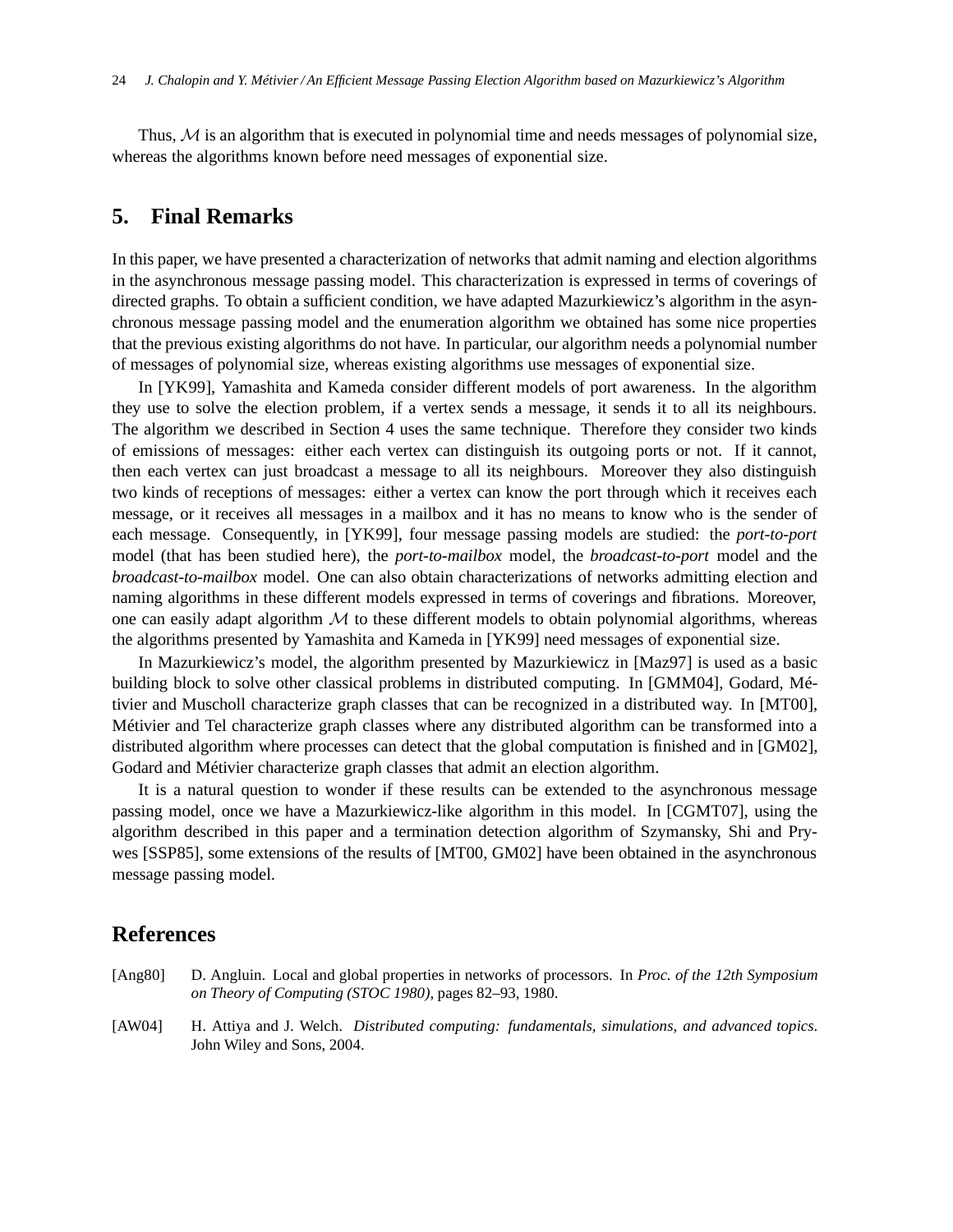Thus,  $M$  is an algorithm that is executed in polynomial time and needs messages of polynomial size, whereas the algorithms known before need messages of exponential size.

# **5. Final Remarks**

In this paper, we have presented a characterization of networks that admit naming and election algorithms in the asynchronous message passing model. This characterization is expressed in terms of coverings of directed graphs. To obtain a sufficient condition, we have adapted Mazurkiewicz's algorithm in the asynchronous message passing model and the enumeration algorithm we obtained has some nice properties that the previous existing algorithms do not have. In particular, our algorithm needs a polynomial number of messages of polynomial size, whereas existing algorithms use messages of exponential size.

In [YK99], Yamashita and Kameda consider different models of port awareness. In the algorithm they use to solve the election problem, if a vertex sends a message, it sends it to all its neighbours. The algorithm we described in Section 4 uses the same technique. Therefore they consider two kinds of emissions of messages: either each vertex can distinguish its outgoing ports or not. If it cannot, then each vertex can just broadcast a message to all its neighbours. Moreover they also distinguish two kinds of receptions of messages: either a vertex can know the port through which it receives each message, or it receives all messages in a mailbox and it has no means to know who is the sender of each message. Consequently, in [YK99], four message passing models are studied: the *port-to-port* model (that has been studied here), the *port-to-mailbox* model, the *broadcast-to-port* model and the *broadcast-to-mailbox* model. One can also obtain characterizations of networks admitting election and naming algorithms in these different models expressed in terms of coverings and fibrations. Moreover, one can easily adapt algorithm  $\mathcal M$  to these different models to obtain polynomial algorithms, whereas the algorithms presented by Yamashita and Kameda in [YK99] need messages of exponential size.

In Mazurkiewicz's model, the algorithm presented by Mazurkiewicz in [Maz97] is used as a basic building block to solve other classical problems in distributed computing. In [GMM04], Godard, Métivier and Muscholl characterize graph classes that can be recognized in a distributed way. In [MT00], Métivier and Tel characterize graph classes where any distributed algorithm can be transformed into a distributed algorithm where processes can detect that the global computation is finished and in [GM02], Godard and Métivier characterize graph classes that admit an election algorithm.

It is a natural question to wonder if these results can be extended to the asynchronous message passing model, once we have a Mazurkiewicz-like algorithm in this model. In [CGMT07], using the algorithm described in this paper and a termination detection algorithm of Szymansky, Shi and Prywes [SSP85], some extensions of the results of [MT00, GM02] have been obtained in the asynchronous message passing model.

# **References**

- [Ang80] D. Angluin. Local and global properties in networks of processors. In *Proc. of the 12th Symposium on Theory of Computing (STOC 1980)*, pages 82–93, 1980.
- [AW04] H. Attiya and J. Welch. *Distributed computing: fundamentals, simulations, and advanced topics*. John Wiley and Sons, 2004.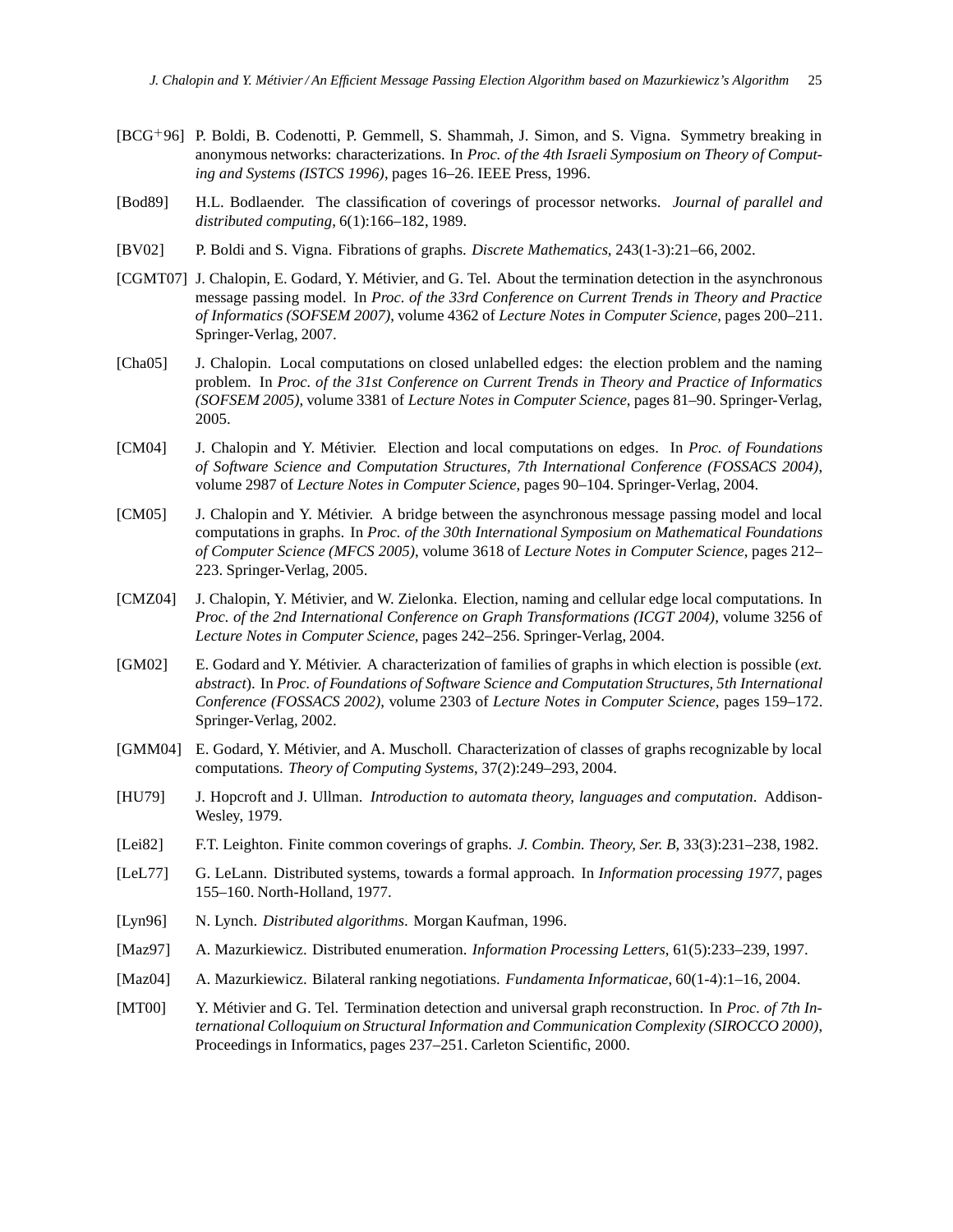- [BCG+96] P. Boldi, B. Codenotti, P. Gemmell, S. Shammah, J. Simon, and S. Vigna. Symmetry breaking in anonymous networks: characterizations. In *Proc. of the 4th Israeli Symposium on Theory of Computing and Systems (ISTCS 1996)*, pages 16–26. IEEE Press, 1996.
- [Bod89] H.L. Bodlaender. The classification of coverings of processor networks. *Journal of parallel and distributed computing*, 6(1):166–182, 1989.
- [BV02] P. Boldi and S. Vigna. Fibrations of graphs. *Discrete Mathematics*, 243(1-3):21–66, 2002.
- [CGMT07] J. Chalopin, E. Godard, Y. Métivier, and G. Tel. About the termination detection in the asynchronous message passing model. In *Proc. of the 33rd Conference on Current Trends in Theory and Practice of Informatics (SOFSEM 2007)*, volume 4362 of *Lecture Notes in Computer Science*, pages 200–211. Springer-Verlag, 2007.
- [Cha05] J. Chalopin. Local computations on closed unlabelled edges: the election problem and the naming problem. In *Proc. of the 31st Conference on Current Trends in Theory and Practice of Informatics (SOFSEM 2005)*, volume 3381 of *Lecture Notes in Computer Science*, pages 81–90. Springer-Verlag, 2005.
- [CM04] J. Chalopin and Y. Métivier. Election and local computations on edges. In *Proc. of Foundations of Software Science and Computation Structures, 7th International Conference (FOSSACS 2004)*, volume 2987 of *Lecture Notes in Computer Science*, pages 90–104. Springer-Verlag, 2004.
- [CM05] J. Chalopin and Y. Métivier. A bridge between the asynchronous message passing model and local computations in graphs. In *Proc. of the 30th International Symposium on Mathematical Foundations of Computer Science (MFCS 2005)*, volume 3618 of *Lecture Notes in Computer Science*, pages 212– 223. Springer-Verlag, 2005.
- [CMZ04] J. Chalopin, Y. Métivier, and W. Zielonka. Election, naming and cellular edge local computations. In *Proc. of the 2nd International Conference on Graph Transformations (ICGT 2004)*, volume 3256 of *Lecture Notes in Computer Science*, pages 242–256. Springer-Verlag, 2004.
- [GM02] E. Godard and Y. Métivier. A characterization of families of graphs in which election is possible (*ext. abstract*). In *Proc. of Foundations of Software Science and Computation Structures, 5th International Conference (FOSSACS 2002)*, volume 2303 of *Lecture Notes in Computer Science*, pages 159–172. Springer-Verlag, 2002.
- [GMM04] E. Godard, Y. Métivier, and A. Muscholl. Characterization of classes of graphs recognizable by local computations. *Theory of Computing Systems*, 37(2):249–293, 2004.
- [HU79] J. Hopcroft and J. Ullman. *Introduction to automata theory, languages and computation*. Addison-Wesley, 1979.
- [Lei82] F.T. Leighton. Finite common coverings of graphs. *J. Combin. Theory, Ser. B*, 33(3):231–238, 1982.
- [LeL77] G. LeLann. Distributed systems, towards a formal approach. In *Information processing 1977*, pages 155–160. North-Holland, 1977.
- [Lyn96] N. Lynch. *Distributed algorithms*. Morgan Kaufman, 1996.
- [Maz97] A. Mazurkiewicz. Distributed enumeration. *Information Processing Letters*, 61(5):233–239, 1997.
- [Maz04] A. Mazurkiewicz. Bilateral ranking negotiations. *Fundamenta Informaticae*, 60(1-4):1–16, 2004.
- [MT00] Y. Métivier and G. Tel. Termination detection and universal graph reconstruction. In *Proc. of 7th International Colloquium on Structural Information and Communication Complexity (SIROCCO 2000)*, Proceedings in Informatics, pages 237–251. Carleton Scientific, 2000.